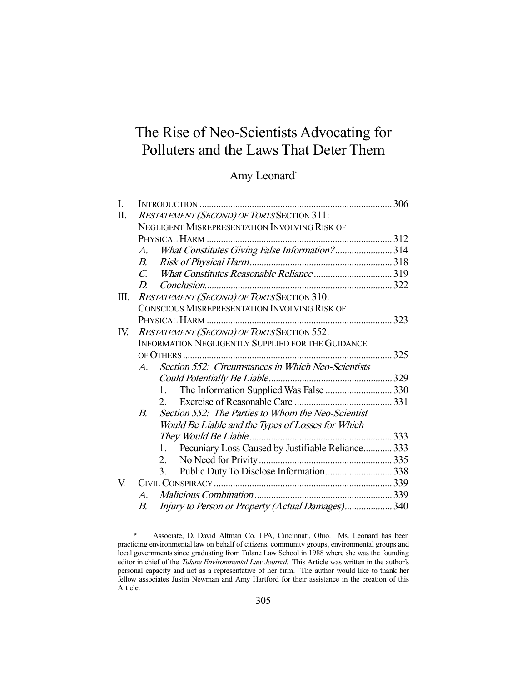# The Rise of Neo-Scientists Advocating for Polluters and the Laws That Deter Them

## Amy Leonard\*

| I.  |                                                          | 306<br>INTRODUCTION                                       |  |  |
|-----|----------------------------------------------------------|-----------------------------------------------------------|--|--|
| Π.  | RESTATEMENT (SECOND) OF TORTS SECTION 311:               |                                                           |  |  |
|     |                                                          | NEGLIGENT MISREPRESENTATION INVOLVING RISK OF             |  |  |
|     |                                                          | PHYSICAL HARM                                             |  |  |
|     | A.                                                       | What Constitutes Giving False Information?314             |  |  |
|     | $B_{\cdot}$                                              |                                                           |  |  |
|     | $C_{\cdot}$                                              |                                                           |  |  |
|     | $D_{\cdot}$                                              | Conclusion                                                |  |  |
| Ш.  | RESTATEMENT (SECOND) OF TORTS SECTION 310:               |                                                           |  |  |
|     | CONSCIOUS MISREPRESENTATION INVOLVING RISK OF            |                                                           |  |  |
|     |                                                          |                                                           |  |  |
| IV. |                                                          | RESTATEMENT (SECOND) OF TORTS SECTION 552:                |  |  |
|     | <b>INFORMATION NEGLIGENTLY SUPPLIED FOR THE GUIDANCE</b> |                                                           |  |  |
|     |                                                          |                                                           |  |  |
|     | $A_{\cdot}$                                              | Section 552: Circumstances in Which Neo-Scientists        |  |  |
|     |                                                          |                                                           |  |  |
|     |                                                          | The Information Supplied Was False  330<br>1.             |  |  |
|     |                                                          | $2^{\circ}$                                               |  |  |
|     | $B_{\cdot}$                                              | Section 552: The Parties to Whom the Neo-Scientist        |  |  |
|     |                                                          | Would Be Liable and the Types of Losses for Which         |  |  |
|     |                                                          | They Would Be Liable                                      |  |  |
|     |                                                          | Pecuniary Loss Caused by Justifiable Reliance 333<br>1.   |  |  |
|     |                                                          | 2.                                                        |  |  |
|     |                                                          | Public Duty To Disclose Information 338<br>3 <sub>1</sub> |  |  |
| V.  |                                                          |                                                           |  |  |
|     | $\mathcal{A}_{\cdot}$                                    |                                                           |  |  |
|     | В.                                                       | Injury to Person or Property (Actual Damages) 340         |  |  |

 <sup>\*</sup> Associate, D. David Altman Co. LPA, Cincinnati, Ohio. Ms. Leonard has been practicing environmental law on behalf of citizens, community groups, environmental groups and local governments since graduating from Tulane Law School in 1988 where she was the founding editor in chief of the Tulane Environmental Law Journal. This Article was written in the author's personal capacity and not as a representative of her firm. The author would like to thank her fellow associates Justin Newman and Amy Hartford for their assistance in the creation of this Article.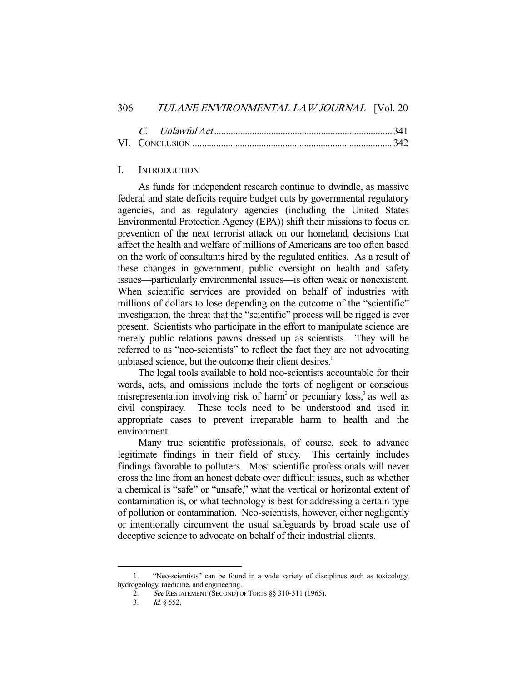## I. INTRODUCTION

 As funds for independent research continue to dwindle, as massive federal and state deficits require budget cuts by governmental regulatory agencies, and as regulatory agencies (including the United States Environmental Protection Agency (EPA)) shift their missions to focus on prevention of the next terrorist attack on our homeland, decisions that affect the health and welfare of millions of Americans are too often based on the work of consultants hired by the regulated entities. As a result of these changes in government, public oversight on health and safety issues—particularly environmental issues—is often weak or nonexistent. When scientific services are provided on behalf of industries with millions of dollars to lose depending on the outcome of the "scientific" investigation, the threat that the "scientific" process will be rigged is ever present. Scientists who participate in the effort to manipulate science are merely public relations pawns dressed up as scientists. They will be referred to as "neo-scientists" to reflect the fact they are not advocating unbiased science, but the outcome their client desires.<sup>1</sup>

 The legal tools available to hold neo-scientists accountable for their words, acts, and omissions include the torts of negligent or conscious misrepresentation involving risk of harm<sup>2</sup> or pecuniary loss,<sup>3</sup> as well as civil conspiracy. These tools need to be understood and used in appropriate cases to prevent irreparable harm to health and the environment.

 Many true scientific professionals, of course, seek to advance legitimate findings in their field of study. This certainly includes findings favorable to polluters. Most scientific professionals will never cross the line from an honest debate over difficult issues, such as whether a chemical is "safe" or "unsafe," what the vertical or horizontal extent of contamination is, or what technology is best for addressing a certain type of pollution or contamination. Neo-scientists, however, either negligently or intentionally circumvent the usual safeguards by broad scale use of deceptive science to advocate on behalf of their industrial clients.

 <sup>1. &</sup>quot;Neo-scientists" can be found in a wide variety of disciplines such as toxicology, hydrogeology, medicine, and engineering.

<sup>2.</sup> See RESTATEMENT (SECOND) OF TORTS §§ 310-311 (1965).

 <sup>3.</sup> Id. § 552.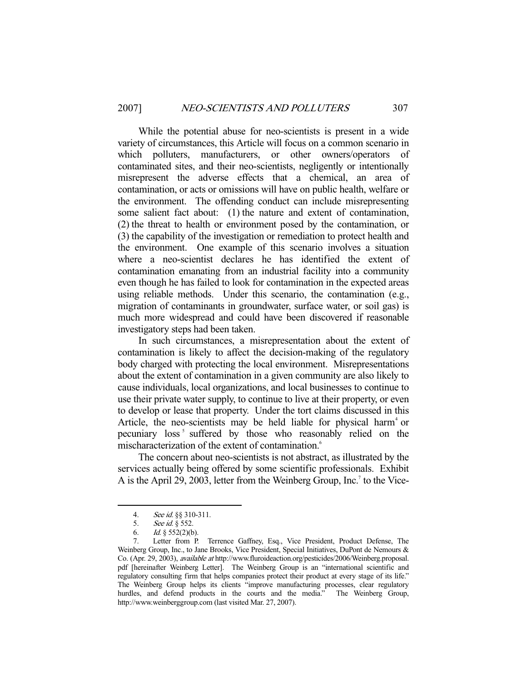While the potential abuse for neo-scientists is present in a wide variety of circumstances, this Article will focus on a common scenario in which polluters, manufacturers, or other owners/operators of contaminated sites, and their neo-scientists, negligently or intentionally misrepresent the adverse effects that a chemical, an area of contamination, or acts or omissions will have on public health, welfare or the environment. The offending conduct can include misrepresenting some salient fact about: (1) the nature and extent of contamination, (2) the threat to health or environment posed by the contamination, or (3) the capability of the investigation or remediation to protect health and the environment. One example of this scenario involves a situation where a neo-scientist declares he has identified the extent of contamination emanating from an industrial facility into a community even though he has failed to look for contamination in the expected areas using reliable methods. Under this scenario, the contamination (e.g., migration of contaminants in groundwater, surface water, or soil gas) is much more widespread and could have been discovered if reasonable investigatory steps had been taken.

 In such circumstances, a misrepresentation about the extent of contamination is likely to affect the decision-making of the regulatory body charged with protecting the local environment. Misrepresentations about the extent of contamination in a given community are also likely to cause individuals, local organizations, and local businesses to continue to use their private water supply, to continue to live at their property, or even to develop or lease that property. Under the tort claims discussed in this Article, the neo-scientists may be held liable for physical harm<sup>4</sup> or pecuniary loss<sup>5</sup> suffered by those who reasonably relied on the mischaracterization of the extent of contamination.<sup>6</sup>

 The concern about neo-scientists is not abstract, as illustrated by the services actually being offered by some scientific professionals. Exhibit A is the April 29, 2003, letter from the Weinberg Group, Inc.<sup>7</sup> to the Vice-

<sup>4.</sup> See id. §§ 310-311.<br>5. See id. § 552.

See id. § 552.

<sup>6.</sup> *Id.* §  $552(2)(b)$ .

 <sup>7.</sup> Letter from P. Terrence Gaffney, Esq., Vice President, Product Defense, The Weinberg Group, Inc., to Jane Brooks, Vice President, Special Initiatives, DuPont de Nemours & Co. (Apr. 29, 2003), available at http://www.fluroideaction.org/pesticides/2006/Weinberg.proposal. pdf [hereinafter Weinberg Letter]. The Weinberg Group is an "international scientific and regulatory consulting firm that helps companies protect their product at every stage of its life." The Weinberg Group helps its clients "improve manufacturing processes, clear regulatory hurdles, and defend products in the courts and the media." The Weinberg Group, http://www.weinberggroup.com (last visited Mar. 27, 2007).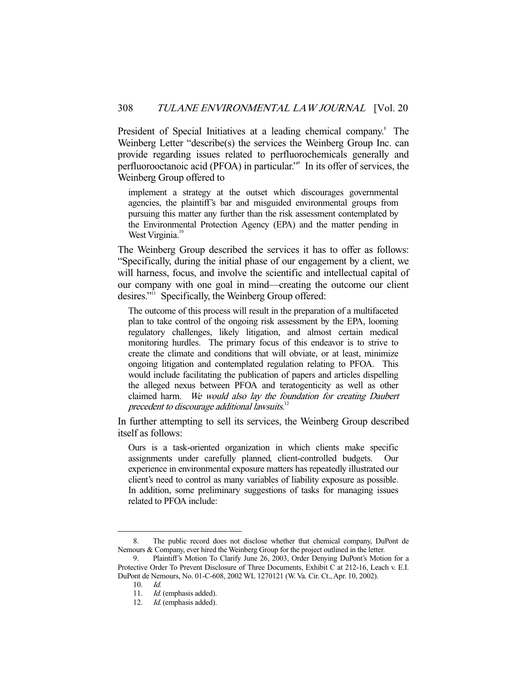President of Special Initiatives at a leading chemical company.<sup>8</sup> The Weinberg Letter "describe(s) the services the Weinberg Group Inc. can provide regarding issues related to perfluorochemicals generally and perfluorooctanoic acid (PFOA) in particular."<sup>9</sup> In its offer of services, the Weinberg Group offered to

implement a strategy at the outset which discourages governmental agencies, the plaintiff's bar and misguided environmental groups from pursuing this matter any further than the risk assessment contemplated by the Environmental Protection Agency (EPA) and the matter pending in West Virginia.<sup>10</sup>

The Weinberg Group described the services it has to offer as follows: "Specifically, during the initial phase of our engagement by a client, we will harness, focus, and involve the scientific and intellectual capital of our company with one goal in mind—creating the outcome our client desires."<sup>11</sup> Specifically, the Weinberg Group offered:

The outcome of this process will result in the preparation of a multifaceted plan to take control of the ongoing risk assessment by the EPA, looming regulatory challenges, likely litigation, and almost certain medical monitoring hurdles. The primary focus of this endeavor is to strive to create the climate and conditions that will obviate, or at least, minimize ongoing litigation and contemplated regulation relating to PFOA. This would include facilitating the publication of papers and articles dispelling the alleged nexus between PFOA and teratogenticity as well as other claimed harm. We would also lay the foundation for creating Daubert precedent to discourage additional lawsuits.<sup>12</sup>

In further attempting to sell its services, the Weinberg Group described itself as follows:

Ours is a task-oriented organization in which clients make specific assignments under carefully planned, client-controlled budgets. Our experience in environmental exposure matters has repeatedly illustrated our client's need to control as many variables of liability exposure as possible. In addition, some preliminary suggestions of tasks for managing issues related to PFOA include:

 <sup>8.</sup> The public record does not disclose whether that chemical company, DuPont de Nemours & Company, ever hired the Weinberg Group for the project outlined in the letter.

 <sup>9.</sup> Plaintiff's Motion To Clarify June 26, 2003, Order Denying DuPont's Motion for a Protective Order To Prevent Disclosure of Three Documents, Exhibit C at 212-16, Leach v. E.I. DuPont de Nemours, No. 01-C-608, 2002 WL 1270121 (W. Va. Cir. Ct., Apr. 10, 2002).

 <sup>10.</sup> Id.

<sup>11.</sup> *Id.* (emphasis added).

<sup>12.</sup> *Id.* (emphasis added).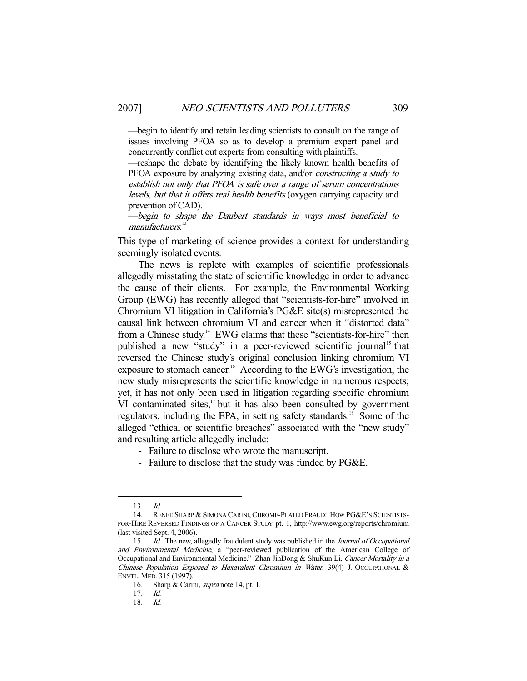—begin to identify and retain leading scientists to consult on the range of issues involving PFOA so as to develop a premium expert panel and concurrently conflict out experts from consulting with plaintiffs.

—reshape the debate by identifying the likely known health benefits of PFOA exposure by analyzing existing data, and/or constructing a study to establish not only that PFOA is safe over a range of serum concentrations levels, but that it offers real health benefits (oxygen carrying capacity and prevention of CAD).

—begin to shape the Daubert standards in ways most beneficial to manufacturers.<sup>13</sup>

This type of marketing of science provides a context for understanding seemingly isolated events.

 The news is replete with examples of scientific professionals allegedly misstating the state of scientific knowledge in order to advance the cause of their clients. For example, the Environmental Working Group (EWG) has recently alleged that "scientists-for-hire" involved in Chromium VI litigation in California's PG&E site(s) misrepresented the causal link between chromium VI and cancer when it "distorted data" from a Chinese study.<sup>14</sup> EWG claims that these "scientists-for-hire" then published a new "study" in a peer-reviewed scientific journal<sup>15</sup> that reversed the Chinese study's original conclusion linking chromium VI exposure to stomach cancer.<sup>16</sup> According to the EWG's investigation, the new study misrepresents the scientific knowledge in numerous respects; yet, it has not only been used in litigation regarding specific chromium  $VI$  contaminated sites,<sup>17</sup> but it has also been consulted by government regulators, including the EPA, in setting safety standards.<sup>18</sup> Some of the alleged "ethical or scientific breaches" associated with the "new study" and resulting article allegedly include:

- Failure to disclose who wrote the manuscript.
- Failure to disclose that the study was funded by PG&E.

 <sup>13.</sup> Id.

<sup>14.</sup> RENEE SHARP & SIMONA CARINI, CHROME-PLATED FRAUD: HOW PG&E'S SCIENTISTS-FOR-HIRE REVERSED FINDINGS OF A CANCER STUDY pt. 1, http://www.ewg.org/reports/chromium (last visited Sept. 4, 2006).

<sup>15.</sup> Id. The new, allegedly fraudulent study was published in the Journal of Occupational and Environmental Medicine, a "peer-reviewed publication of the American College of Occupational and Environmental Medicine." Zhan JinDong & ShuKun Li, Cancer Mortality in a Chinese Population Exposed to Hexavalent Chromium in Water, 39(4) J. OCCUPATIONAL & ENVTL. MED. 315 (1997).

<sup>16.</sup> Sharp & Carini, *supra* note 14, pt. 1.

<sup>17.</sup>  $Id.$ <br>18.  $Id.$ 

 <sup>18.</sup> Id.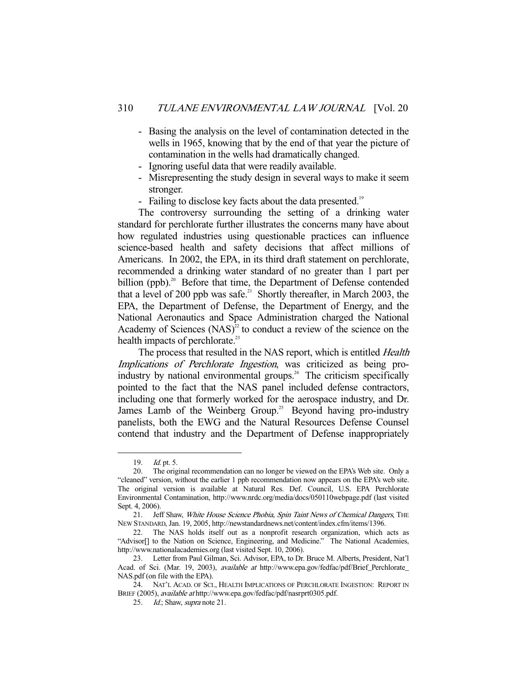- Basing the analysis on the level of contamination detected in the wells in 1965, knowing that by the end of that year the picture of contamination in the wells had dramatically changed.
- Ignoring useful data that were readily available.
- Misrepresenting the study design in several ways to make it seem stronger.
- Failing to disclose key facts about the data presented.<sup>19</sup>

 The controversy surrounding the setting of a drinking water standard for perchlorate further illustrates the concerns many have about how regulated industries using questionable practices can influence science-based health and safety decisions that affect millions of Americans. In 2002, the EPA, in its third draft statement on perchlorate, recommended a drinking water standard of no greater than 1 part per billion (ppb).<sup>20</sup> Before that time, the Department of Defense contended that a level of 200 ppb was safe.<sup>21</sup> Shortly thereafter, in March 2003, the EPA, the Department of Defense, the Department of Energy, and the National Aeronautics and Space Administration charged the National Academy of Sciences  $(NAS)^2$  to conduct a review of the science on the health impacts of perchlorate.<sup>23</sup>

The process that resulted in the NAS report, which is entitled *Health* Implications of Perchlorate Ingestion, was criticized as being proindustry by national environmental groups.<sup>24</sup> The criticism specifically pointed to the fact that the NAS panel included defense contractors, including one that formerly worked for the aerospace industry, and Dr. James Lamb of the Weinberg Group.<sup>25</sup> Beyond having pro-industry panelists, both the EWG and the Natural Resources Defense Counsel contend that industry and the Department of Defense inappropriately

 <sup>19.</sup> Id. pt. 5.

 <sup>20.</sup> The original recommendation can no longer be viewed on the EPA's Web site. Only a "cleaned" version, without the earlier 1 ppb recommendation now appears on the EPA's web site. The original version is available at Natural Res. Def. Council, U.S. EPA Perchlorate Environmental Contamination, http://www.nrdc.org/media/docs/050110webpage.pdf (last visited Sept. 4, 2006).

<sup>21.</sup> Jeff Shaw, White House Science Phobia, Spin Taint News of Chemical Dangers, THE NEW STANDARD, Jan. 19, 2005, http://newstandardnews.net/content/index.cfm/items/1396.

 <sup>22.</sup> The NAS holds itself out as a nonprofit research organization, which acts as "Advisor[] to the Nation on Science, Engineering, and Medicine." The National Academies, http://www.nationalacademies.org (last visited Sept. 10, 2006).

 <sup>23.</sup> Letter from Paul Gilman, Sci. Advisor, EPA, to Dr. Bruce M. Alberts, President, Nat'l Acad. of Sci. (Mar. 19, 2003), available at http://www.epa.gov/fedfac/pdf/Brief\_Perchlorate\_ NAS.pdf (on file with the EPA).

 <sup>24.</sup> NAT'L ACAD. OF SCI., HEALTH IMPLICATIONS OF PERCHLORATE INGESTION: REPORT IN BRIEF (2005), available at http://www.epa.gov/fedfac/pdf/nasrprt0305.pdf.

<sup>25.</sup> *Id.*; Shaw, *supra* note 21.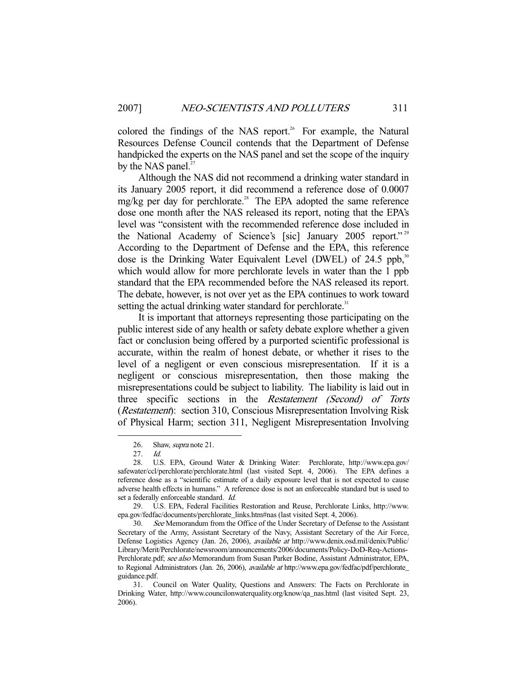colored the findings of the NAS report.<sup>26</sup> For example, the Natural Resources Defense Council contends that the Department of Defense handpicked the experts on the NAS panel and set the scope of the inquiry by the NAS panel. $27$ 

 Although the NAS did not recommend a drinking water standard in its January 2005 report, it did recommend a reference dose of 0.0007 mg/kg per day for perchlorate.<sup>28</sup> The EPA adopted the same reference dose one month after the NAS released its report, noting that the EPA's level was "consistent with the recommended reference dose included in the National Academy of Science's [sic] January 2005 report."<sup>29</sup> According to the Department of Defense and the EPA, this reference dose is the Drinking Water Equivalent Level (DWEL) of 24.5 ppb, $30$ which would allow for more perchlorate levels in water than the 1 ppb standard that the EPA recommended before the NAS released its report. The debate, however, is not over yet as the EPA continues to work toward setting the actual drinking water standard for perchlorate.<sup>31</sup>

 It is important that attorneys representing those participating on the public interest side of any health or safety debate explore whether a given fact or conclusion being offered by a purported scientific professional is accurate, within the realm of honest debate, or whether it rises to the level of a negligent or even conscious misrepresentation. If it is a negligent or conscious misrepresentation, then those making the misrepresentations could be subject to liability. The liability is laid out in three specific sections in the Restatement (Second) of Torts (*Restatement*): section 310, Conscious Misrepresentation Involving Risk of Physical Harm; section 311, Negligent Misrepresentation Involving

<sup>26.</sup> Shaw, *supra* note 21.

<sup>27.</sup> *Id.*<br>28. U.S

U.S. EPA, Ground Water & Drinking Water: Perchlorate, http://www.epa.gov/ safewater/ccl/perchlorate/perchlorate.html (last visited Sept. 4, 2006). The EPA defines a reference dose as a "scientific estimate of a daily exposure level that is not expected to cause adverse health effects in humans." A reference dose is not an enforceable standard but is used to set a federally enforceable standard. Id.

 <sup>29.</sup> U.S. EPA, Federal Facilities Restoration and Reuse, Perchlorate Links, http://www. epa.gov/fedfac/documents/perchlorate\_links.htm#nas (last visited Sept. 4, 2006).

 <sup>30.</sup> See Memorandum from the Office of the Under Secretary of Defense to the Assistant Secretary of the Army, Assistant Secretary of the Navy, Assistant Secretary of the Air Force, Defense Logistics Agency (Jan. 26, 2006), available at http://www.denix.osd.mil/denix/Public/ Library/Merit/Perchlorate/newsroom/announcements/2006/documents/Policy-DoD-Req-Actions-Perchlorate.pdf; see also Memorandum from Susan Parker Bodine, Assistant Administrator, EPA, to Regional Administrators (Jan. 26, 2006), *available at* http://www.epa.gov/fedfac/pdf/perchlorate\_ guidance.pdf.

 <sup>31.</sup> Council on Water Quality, Questions and Answers: The Facts on Perchlorate in Drinking Water, http://www.councilonwaterquality.org/know/qa\_nas.html (last visited Sept. 23, 2006).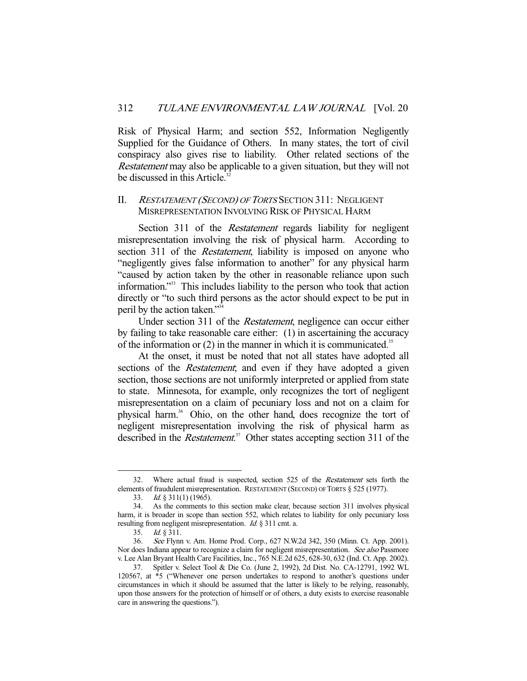Risk of Physical Harm; and section 552, Information Negligently Supplied for the Guidance of Others. In many states, the tort of civil conspiracy also gives rise to liability. Other related sections of the Restatement may also be applicable to a given situation, but they will not be discussed in this Article. $32$ 

## II. RESTATEMENT (SECOND) OF TORTS SECTION 311: NEGLIGENT MISREPRESENTATION INVOLVING RISK OF PHYSICAL HARM

Section 311 of the *Restatement* regards liability for negligent misrepresentation involving the risk of physical harm. According to section 311 of the *Restatement*, liability is imposed on anyone who "negligently gives false information to another" for any physical harm "caused by action taken by the other in reasonable reliance upon such information."33 This includes liability to the person who took that action directly or "to such third persons as the actor should expect to be put in peril by the action taken."34

 Under section 311 of the Restatement, negligence can occur either by failing to take reasonable care either: (1) in ascertaining the accuracy of the information or  $(2)$  in the manner in which it is communicated.<sup>35</sup>

 At the onset, it must be noted that not all states have adopted all sections of the *Restatement*; and even if they have adopted a given section, those sections are not uniformly interpreted or applied from state to state. Minnesota, for example, only recognizes the tort of negligent misrepresentation on a claim of pecuniary loss and not on a claim for physical harm.<sup>36</sup> Ohio, on the other hand, does recognize the tort of negligent misrepresentation involving the risk of physical harm as described in the *Restatement*.<sup>37</sup> Other states accepting section 311 of the

 <sup>32.</sup> Where actual fraud is suspected, section 525 of the Restatement sets forth the elements of fraudulent misrepresentation. RESTATEMENT (SECOND) OF TORTS § 525 (1977).

 <sup>33.</sup> Id. § 311(1) (1965).

 <sup>34.</sup> As the comments to this section make clear, because section 311 involves physical harm, it is broader in scope than section 552, which relates to liability for only pecuniary loss resulting from negligent misrepresentation. Id. § 311 cmt. a.

 <sup>35.</sup> Id. § 311.

 <sup>36.</sup> See Flynn v. Am. Home Prod. Corp., 627 N.W.2d 342, 350 (Minn. Ct. App. 2001). Nor does Indiana appear to recognize a claim for negligent misrepresentation. See also Passmore v. Lee Alan Bryant Health Care Facilities, Inc., 765 N.E.2d 625, 628-30, 632 (Ind. Ct. App. 2002).

 <sup>37.</sup> Spitler v. Select Tool & Die Co. (June 2, 1992), 2d Dist. No. CA-12791, 1992 WL 120567, at \*5 ("Whenever one person undertakes to respond to another's questions under circumstances in which it should be assumed that the latter is likely to be relying, reasonably, upon those answers for the protection of himself or of others, a duty exists to exercise reasonable care in answering the questions.").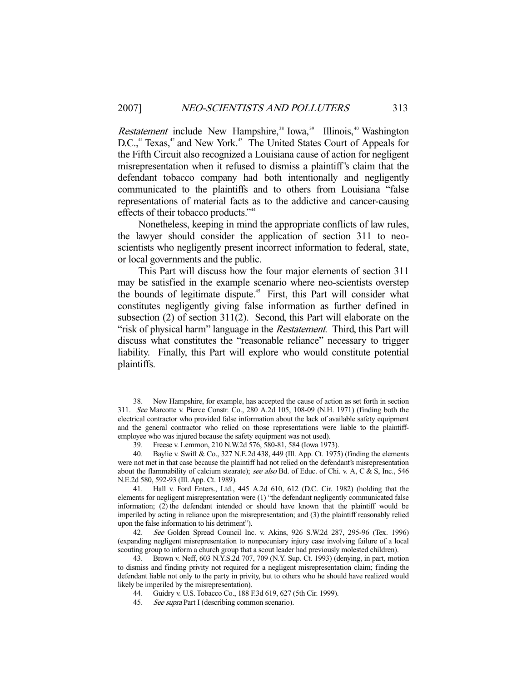Restatement include New Hampshire,<sup>38</sup> Iowa,<sup>39</sup> Illinois,<sup>40</sup> Washington D.C.,<sup>41</sup> Texas,<sup>42</sup> and New York.<sup>43</sup> The United States Court of Appeals for the Fifth Circuit also recognized a Louisiana cause of action for negligent misrepresentation when it refused to dismiss a plaintiff's claim that the defendant tobacco company had both intentionally and negligently communicated to the plaintiffs and to others from Louisiana "false representations of material facts as to the addictive and cancer-causing effects of their tobacco products."<sup>44</sup>

 Nonetheless, keeping in mind the appropriate conflicts of law rules, the lawyer should consider the application of section 311 to neoscientists who negligently present incorrect information to federal, state, or local governments and the public.

 This Part will discuss how the four major elements of section 311 may be satisfied in the example scenario where neo-scientists overstep the bounds of legitimate dispute.45 First, this Part will consider what constitutes negligently giving false information as further defined in subsection (2) of section 311(2). Second, this Part will elaborate on the "risk of physical harm" language in the *Restatement*. Third, this Part will discuss what constitutes the "reasonable reliance" necessary to trigger liability. Finally, this Part will explore who would constitute potential plaintiffs.

 <sup>38.</sup> New Hampshire, for example, has accepted the cause of action as set forth in section 311. See Marcotte v. Pierce Constr. Co., 280 A.2d 105, 108-09 (N.H. 1971) (finding both the electrical contractor who provided false information about the lack of available safety equipment and the general contractor who relied on those representations were liable to the plaintiffemployee who was injured because the safety equipment was not used).

<sup>39.</sup> Freese v. Lemmon, 210 N.W.2d 576, 580-81, 584 (Iowa 1973).<br>40. Baylie v. Swift & Co., 327 N.E.2d 438, 449 (Ill. App. Ct. 1975). Baylie v. Swift & Co., 327 N.E.2d 438, 449 (Ill. App. Ct. 1975) (finding the elements were not met in that case because the plaintiff had not relied on the defendant's misrepresentation about the flammability of calcium stearate); see also Bd. of Educ. of Chi. v. A, C & S, Inc., 546 N.E.2d 580, 592-93 (Ill. App. Ct. 1989).

 <sup>41.</sup> Hall v. Ford Enters., Ltd., 445 A.2d 610, 612 (D.C. Cir. 1982) (holding that the elements for negligent misrepresentation were (1) "the defendant negligently communicated false information; (2) the defendant intended or should have known that the plaintiff would be imperiled by acting in reliance upon the misrepresentation; and (3) the plaintiff reasonably relied upon the false information to his detriment").

 <sup>42.</sup> See Golden Spread Council Inc. v. Akins, 926 S.W.2d 287, 295-96 (Tex. 1996) (expanding negligent misrepresentation to nonpecuniary injury case involving failure of a local scouting group to inform a church group that a scout leader had previously molested children).

 <sup>43.</sup> Brown v. Neff, 603 N.Y.S.2d 707, 709 (N.Y. Sup. Ct. 1993) (denying, in part, motion to dismiss and finding privity not required for a negligent misrepresentation claim; finding the defendant liable not only to the party in privity, but to others who he should have realized would likely be imperiled by the misrepresentation).

 <sup>44.</sup> Guidry v. U.S. Tobacco Co., 188 F.3d 619, 627 (5th Cir. 1999).

<sup>45.</sup> See supra Part I (describing common scenario).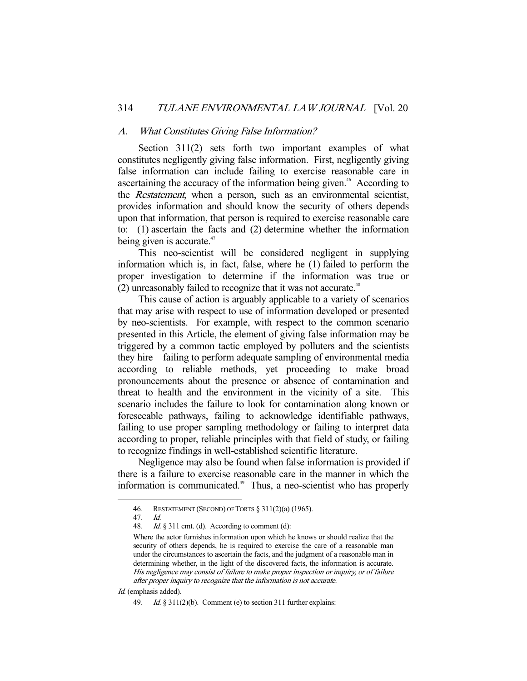#### A. What Constitutes Giving False Information?

 Section 311(2) sets forth two important examples of what constitutes negligently giving false information. First, negligently giving false information can include failing to exercise reasonable care in ascertaining the accuracy of the information being given.<sup>46</sup> According to the *Restatement*, when a person, such as an environmental scientist, provides information and should know the security of others depends upon that information, that person is required to exercise reasonable care to: (1) ascertain the facts and (2) determine whether the information being given is accurate. $47$ 

 This neo-scientist will be considered negligent in supplying information which is, in fact, false, where he (1) failed to perform the proper investigation to determine if the information was true or  $(2)$  unreasonably failed to recognize that it was not accurate.<sup>48</sup>

 This cause of action is arguably applicable to a variety of scenarios that may arise with respect to use of information developed or presented by neo-scientists. For example, with respect to the common scenario presented in this Article, the element of giving false information may be triggered by a common tactic employed by polluters and the scientists they hire—failing to perform adequate sampling of environmental media according to reliable methods, yet proceeding to make broad pronouncements about the presence or absence of contamination and threat to health and the environment in the vicinity of a site. This scenario includes the failure to look for contamination along known or foreseeable pathways, failing to acknowledge identifiable pathways, failing to use proper sampling methodology or failing to interpret data according to proper, reliable principles with that field of study, or failing to recognize findings in well-established scientific literature.

 Negligence may also be found when false information is provided if there is a failure to exercise reasonable care in the manner in which the information is communicated.<sup>49</sup> Thus, a neo-scientist who has properly

 <sup>46.</sup> RESTATEMENT (SECOND) OF TORTS § 311(2)(a) (1965).

 <sup>47.</sup> Id.

<sup>48.</sup> Id.  $\S 311$  cmt. (d). According to comment (d):

Where the actor furnishes information upon which he knows or should realize that the security of others depends, he is required to exercise the care of a reasonable man under the circumstances to ascertain the facts, and the judgment of a reasonable man in determining whether, in the light of the discovered facts, the information is accurate. His negligence may consist of failure to make proper inspection or inquiry, or of failure after proper inquiry to recognize that the information is not accurate.

Id. (emphasis added).

 <sup>49.</sup> Id. § 311(2)(b). Comment (e) to section 311 further explains: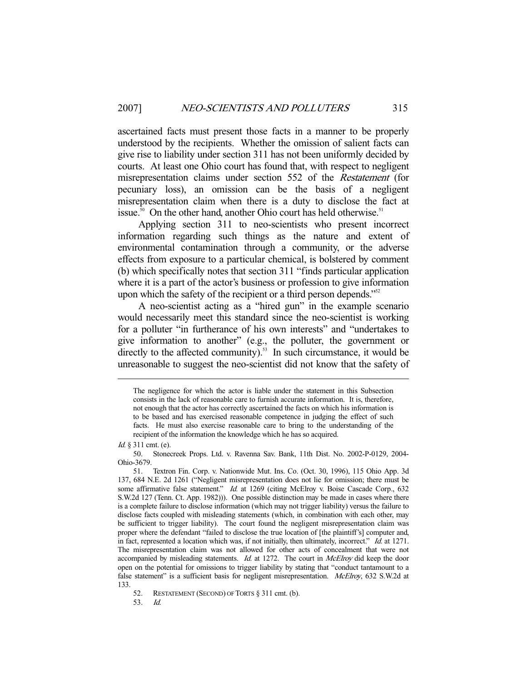ascertained facts must present those facts in a manner to be properly understood by the recipients. Whether the omission of salient facts can give rise to liability under section 311 has not been uniformly decided by courts. At least one Ohio court has found that, with respect to negligent misrepresentation claims under section 552 of the Restatement (for pecuniary loss), an omission can be the basis of a negligent misrepresentation claim when there is a duty to disclose the fact at issue.<sup>50</sup> On the other hand, another Ohio court has held otherwise.<sup>51</sup>

 Applying section 311 to neo-scientists who present incorrect information regarding such things as the nature and extent of environmental contamination through a community, or the adverse effects from exposure to a particular chemical, is bolstered by comment (b) which specifically notes that section 311 "finds particular application where it is a part of the actor's business or profession to give information upon which the safety of the recipient or a third person depends."<sup>52</sup>

 A neo-scientist acting as a "hired gun" in the example scenario would necessarily meet this standard since the neo-scientist is working for a polluter "in furtherance of his own interests" and "undertakes to give information to another" (e.g., the polluter, the government or directly to the affected community). $53$  In such circumstance, it would be unreasonable to suggest the neo-scientist did not know that the safety of

The negligence for which the actor is liable under the statement in this Subsection consists in the lack of reasonable care to furnish accurate information. It is, therefore, not enough that the actor has correctly ascertained the facts on which his information is to be based and has exercised reasonable competence in judging the effect of such facts. He must also exercise reasonable care to bring to the understanding of the recipient of the information the knowledge which he has so acquired.

Id. § 311 cmt. (e).<br>50. Stoned

 <sup>50.</sup> Stonecreek Props. Ltd. v. Ravenna Sav. Bank, 11th Dist. No. 2002-P-0129, 2004- Ohio-3679.

 <sup>51.</sup> Textron Fin. Corp. v. Nationwide Mut. Ins. Co. (Oct. 30, 1996), 115 Ohio App. 3d 137, 684 N.E. 2d 1261 ("Negligent misrepresentation does not lie for omission; there must be some affirmative false statement." Id. at 1269 (citing McElroy v. Boise Cascade Corp., 632) S.W.2d 127 (Tenn. Ct. App. 1982))). One possible distinction may be made in cases where there is a complete failure to disclose information (which may not trigger liability) versus the failure to disclose facts coupled with misleading statements (which, in combination with each other, may be sufficient to trigger liability). The court found the negligent misrepresentation claim was proper where the defendant "failed to disclose the true location of [the plaintiff's] computer and, in fact, represented a location which was, if not initially, then ultimately, incorrect." Id. at 1271. The misrepresentation claim was not allowed for other acts of concealment that were not accompanied by misleading statements. Id. at 1272. The court in  $McElroy$  did keep the door open on the potential for omissions to trigger liability by stating that "conduct tantamount to a false statement" is a sufficient basis for negligent misrepresentation. McElroy, 632 S.W.2d at 133.

 <sup>52.</sup> RESTATEMENT (SECOND) OF TORTS § 311 cmt. (b).

 <sup>53.</sup> Id.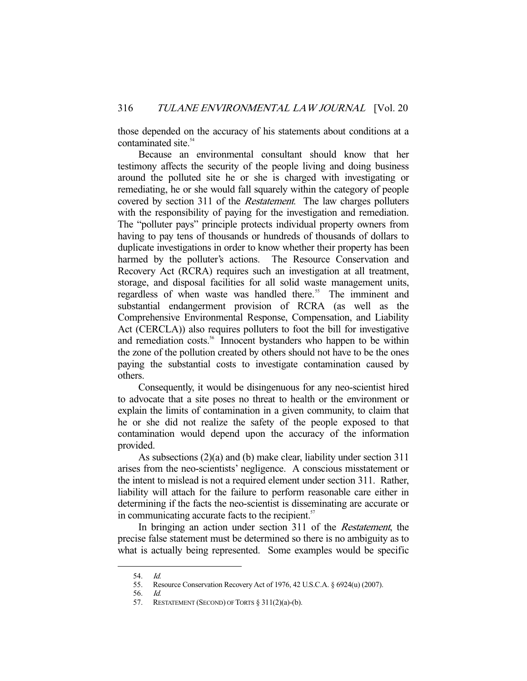those depended on the accuracy of his statements about conditions at a contaminated site.<sup>54</sup>

 Because an environmental consultant should know that her testimony affects the security of the people living and doing business around the polluted site he or she is charged with investigating or remediating, he or she would fall squarely within the category of people covered by section 311 of the Restatement. The law charges polluters with the responsibility of paying for the investigation and remediation. The "polluter pays" principle protects individual property owners from having to pay tens of thousands or hundreds of thousands of dollars to duplicate investigations in order to know whether their property has been harmed by the polluter's actions. The Resource Conservation and Recovery Act (RCRA) requires such an investigation at all treatment, storage, and disposal facilities for all solid waste management units, regardless of when waste was handled there.<sup>55</sup> The imminent and substantial endangerment provision of RCRA (as well as the Comprehensive Environmental Response, Compensation, and Liability Act (CERCLA)) also requires polluters to foot the bill for investigative and remediation costs.<sup>56</sup> Innocent bystanders who happen to be within the zone of the pollution created by others should not have to be the ones paying the substantial costs to investigate contamination caused by others.

 Consequently, it would be disingenuous for any neo-scientist hired to advocate that a site poses no threat to health or the environment or explain the limits of contamination in a given community, to claim that he or she did not realize the safety of the people exposed to that contamination would depend upon the accuracy of the information provided.

 As subsections (2)(a) and (b) make clear, liability under section 311 arises from the neo-scientists' negligence. A conscious misstatement or the intent to mislead is not a required element under section 311. Rather, liability will attach for the failure to perform reasonable care either in determining if the facts the neo-scientist is disseminating are accurate or in communicating accurate facts to the recipient. $57$ 

In bringing an action under section 311 of the *Restatement*, the precise false statement must be determined so there is no ambiguity as to what is actually being represented. Some examples would be specific

 <sup>54.</sup> Id.

 <sup>55.</sup> Resource Conservation Recovery Act of 1976, 42 U.S.C.A. § 6924(u) (2007).

 <sup>56.</sup> Id.

 <sup>57.</sup> RESTATEMENT (SECOND) OF TORTS § 311(2)(a)-(b).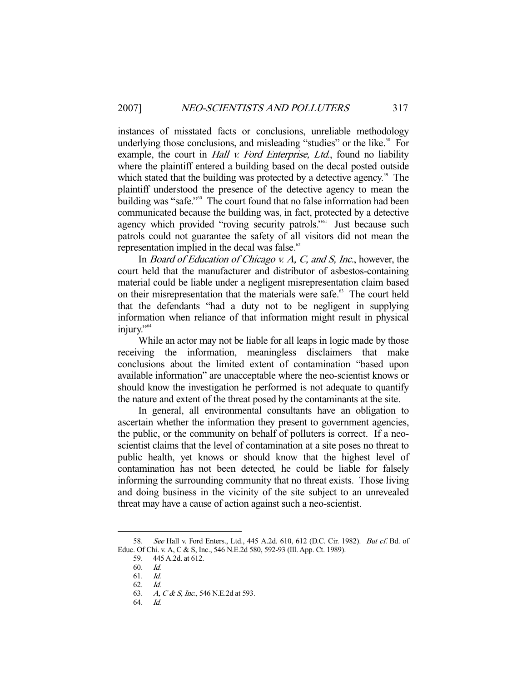instances of misstated facts or conclusions, unreliable methodology underlying those conclusions, and misleading "studies" or the like.<sup>58</sup> For example, the court in *Hall v. Ford Enterprise*, *Ltd.*, found no liability where the plaintiff entered a building based on the decal posted outside which stated that the building was protected by a detective agency.<sup>59</sup> The plaintiff understood the presence of the detective agency to mean the building was "safe."<sup>60</sup> The court found that no false information had been communicated because the building was, in fact, protected by a detective agency which provided "roving security patrols."<sup>61</sup> Just because such patrols could not guarantee the safety of all visitors did not mean the representation implied in the decal was false. $62$ 

In *Board of Education of Chicago v. A, C, and S, Inc.*, however, the court held that the manufacturer and distributor of asbestos-containing material could be liable under a negligent misrepresentation claim based on their misrepresentation that the materials were safe.<sup>63</sup> The court held that the defendants "had a duty not to be negligent in supplying information when reliance of that information might result in physical injury."<sup>64</sup>

 While an actor may not be liable for all leaps in logic made by those receiving the information, meaningless disclaimers that make conclusions about the limited extent of contamination "based upon available information" are unacceptable where the neo-scientist knows or should know the investigation he performed is not adequate to quantify the nature and extent of the threat posed by the contaminants at the site.

 In general, all environmental consultants have an obligation to ascertain whether the information they present to government agencies, the public, or the community on behalf of polluters is correct. If a neoscientist claims that the level of contamination at a site poses no threat to public health, yet knows or should know that the highest level of contamination has not been detected, he could be liable for falsely informing the surrounding community that no threat exists. Those living and doing business in the vicinity of the site subject to an unrevealed threat may have a cause of action against such a neo-scientist.

<sup>58.</sup> See Hall v. Ford Enters., Ltd., 445 A.2d. 610, 612 (D.C. Cir. 1982). But cf. Bd. of Educ. Of Chi. v. A, C & S, Inc., 546 N.E.2d 580, 592-93 (Ill. App. Ct. 1989).

 <sup>59. 445</sup> A.2d. at 612.

 <sup>60.</sup> Id.

 <sup>61.</sup> Id.

 <sup>62.</sup> Id.

<sup>63.</sup> A, C & S, Inc., 546 N.E. 2d at 593.

 <sup>64.</sup> Id.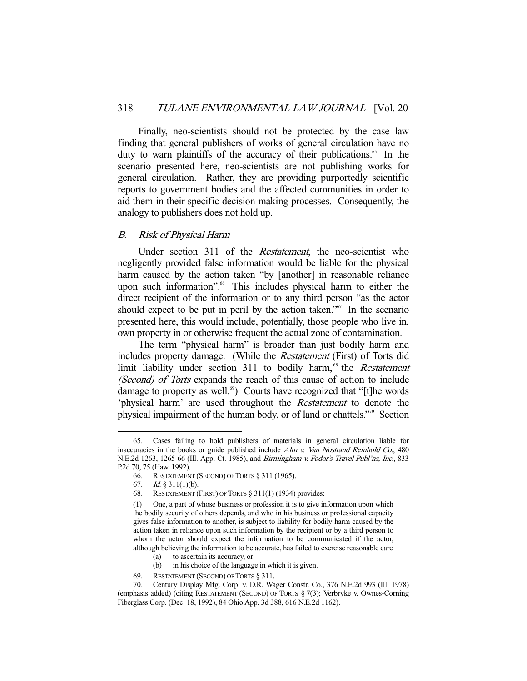Finally, neo-scientists should not be protected by the case law finding that general publishers of works of general circulation have no duty to warn plaintiffs of the accuracy of their publications.<sup>65</sup> In the scenario presented here, neo-scientists are not publishing works for general circulation. Rather, they are providing purportedly scientific reports to government bodies and the affected communities in order to aid them in their specific decision making processes. Consequently, the analogy to publishers does not hold up.

## B. Risk of Physical Harm

Under section 311 of the *Restatement*, the neo-scientist who negligently provided false information would be liable for the physical harm caused by the action taken "by [another] in reasonable reliance upon such information".<sup>66</sup> This includes physical harm to either the direct recipient of the information or to any third person "as the actor should expect to be put in peril by the action taken."<sup>67</sup> In the scenario presented here, this would include, potentially, those people who live in, own property in or otherwise frequent the actual zone of contamination.

 The term "physical harm" is broader than just bodily harm and includes property damage. (While the Restatement (First) of Torts did limit liability under section 311 to bodily harm,<sup>68</sup> the *Restatement* (Second) of Torts expands the reach of this cause of action to include damage to property as well.<sup>69</sup>) Courts have recognized that "[t]he words 'physical harm' are used throughout the Restatement to denote the physical impairment of the human body, or of land or chattels."70 Section

-

69. RESTATEMENT (SECOND) OF TORTS § 311.

 <sup>65.</sup> Cases failing to hold publishers of materials in general circulation liable for inaccuracies in the books or guide published include  $Alm v$ . Van Nostrand Reinhold Co., 480 N.E.2d 1263, 1265-66 (Ill. App. Ct. 1985), and *Birmingham v. Fodor's Travel Publ'ns, Inc.*, 833 P.2d 70, 75 (Haw. 1992).

 <sup>66.</sup> RESTATEMENT (SECOND) OF TORTS § 311 (1965).

<sup>67.</sup> *Id.*  $\&$  311(1)(b).

 <sup>68.</sup> RESTATEMENT (FIRST) OF TORTS § 311(1) (1934) provides:

<sup>(1)</sup> One, a part of whose business or profession it is to give information upon which the bodily security of others depends, and who in his business or professional capacity gives false information to another, is subject to liability for bodily harm caused by the action taken in reliance upon such information by the recipient or by a third person to whom the actor should expect the information to be communicated if the actor, although believing the information to be accurate, has failed to exercise reasonable care

 <sup>(</sup>a) to ascertain its accuracy, or

 <sup>(</sup>b) in his choice of the language in which it is given.

 <sup>70.</sup> Century Display Mfg. Corp. v. D.R. Wager Constr. Co., 376 N.E.2d 993 (Ill. 1978) (emphasis added) (citing RESTATEMENT (SECOND) OF TORTS § 7(3); Verbryke v. Ownes-Corning Fiberglass Corp. (Dec. 18, 1992), 84 Ohio App. 3d 388, 616 N.E.2d 1162).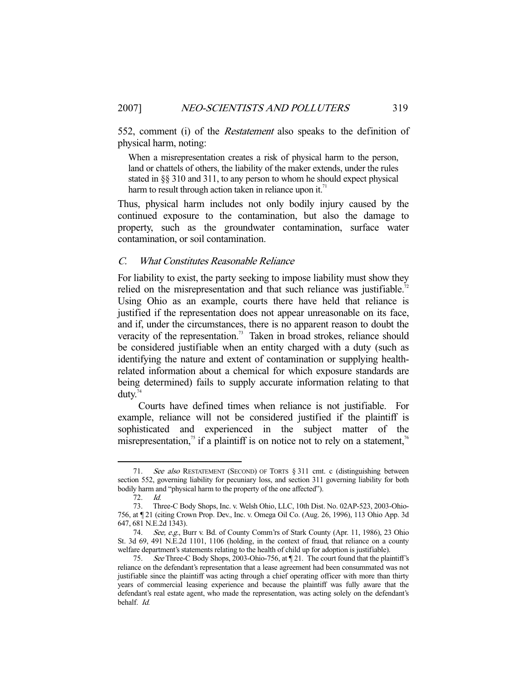552, comment (i) of the *Restatement* also speaks to the definition of physical harm, noting:

When a misrepresentation creates a risk of physical harm to the person, land or chattels of others, the liability of the maker extends, under the rules stated in §§ 310 and 311, to any person to whom he should expect physical harm to result through action taken in reliance upon it.<sup>71</sup>

Thus, physical harm includes not only bodily injury caused by the continued exposure to the contamination, but also the damage to property, such as the groundwater contamination, surface water contamination, or soil contamination.

## C. What Constitutes Reasonable Reliance

For liability to exist, the party seeking to impose liability must show they relied on the misrepresentation and that such reliance was justifiable.<sup>72</sup> Using Ohio as an example, courts there have held that reliance is justified if the representation does not appear unreasonable on its face, and if, under the circumstances, there is no apparent reason to doubt the veracity of the representation.<sup>73</sup> Taken in broad strokes, reliance should be considered justifiable when an entity charged with a duty (such as identifying the nature and extent of contamination or supplying healthrelated information about a chemical for which exposure standards are being determined) fails to supply accurate information relating to that duty. $74$ 

 Courts have defined times when reliance is not justifiable. For example, reliance will not be considered justified if the plaintiff is sophisticated and experienced in the subject matter of the misrepresentation,<sup>75</sup> if a plaintiff is on notice not to rely on a statement,<sup>76</sup>

<sup>71.</sup> See also RESTATEMENT (SECOND) OF TORTS § 311 cmt. c (distinguishing between section 552, governing liability for pecuniary loss, and section 311 governing liability for both bodily harm and "physical harm to the property of the one affected").

 <sup>72.</sup> Id.

 <sup>73.</sup> Three-C Body Shops, Inc. v. Welsh Ohio, LLC, 10th Dist. No. 02AP-523, 2003-Ohio-756, at ¶ 21 (citing Crown Prop. Dev., Inc. v. Omega Oil Co. (Aug. 26, 1996), 113 Ohio App. 3d 647, 681 N.E.2d 1343).

 <sup>74.</sup> See, e.g., Burr v. Bd. of County Comm'rs of Stark County (Apr. 11, 1986), 23 Ohio St. 3d 69, 491 N.E.2d 1101, 1106 (holding, in the context of fraud, that reliance on a county welfare department's statements relating to the health of child up for adoption is justifiable).

 <sup>75.</sup> See Three-C Body Shops, 2003-Ohio-756, at ¶ 21. The court found that the plaintiff's reliance on the defendant's representation that a lease agreement had been consummated was not justifiable since the plaintiff was acting through a chief operating officer with more than thirty years of commercial leasing experience and because the plaintiff was fully aware that the defendant's real estate agent, who made the representation, was acting solely on the defendant's behalf. Id.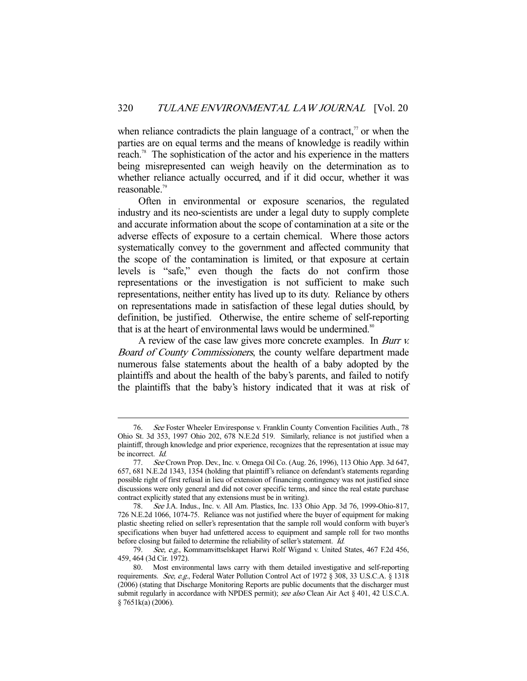when reliance contradicts the plain language of a contract, $\alpha$  or when the parties are on equal terms and the means of knowledge is readily within reach.<sup>78</sup> The sophistication of the actor and his experience in the matters being misrepresented can weigh heavily on the determination as to whether reliance actually occurred, and if it did occur, whether it was reasonable.79

 Often in environmental or exposure scenarios, the regulated industry and its neo-scientists are under a legal duty to supply complete and accurate information about the scope of contamination at a site or the adverse effects of exposure to a certain chemical. Where those actors systematically convey to the government and affected community that the scope of the contamination is limited, or that exposure at certain levels is "safe," even though the facts do not confirm those representations or the investigation is not sufficient to make such representations, neither entity has lived up to its duty. Reliance by others on representations made in satisfaction of these legal duties should, by definition, be justified. Otherwise, the entire scheme of self-reporting that is at the heart of environmental laws would be undermined.<sup>80</sup>

A review of the case law gives more concrete examples. In *Burr v.* Board of County Commissioners, the county welfare department made numerous false statements about the health of a baby adopted by the plaintiffs and about the health of the baby's parents, and failed to notify the plaintiffs that the baby's history indicated that it was at risk of

 <sup>76.</sup> See Foster Wheeler Enviresponse v. Franklin County Convention Facilities Auth., 78 Ohio St. 3d 353, 1997 Ohio 202, 678 N.E.2d 519. Similarly, reliance is not justified when a plaintiff, through knowledge and prior experience, recognizes that the representation at issue may be incorrect. Id.

 <sup>77.</sup> See Crown Prop. Dev., Inc. v. Omega Oil Co. (Aug. 26, 1996), 113 Ohio App. 3d 647, 657, 681 N.E.2d 1343, 1354 (holding that plaintiff's reliance on defendant's statements regarding possible right of first refusal in lieu of extension of financing contingency was not justified since discussions were only general and did not cover specific terms, and since the real estate purchase contract explicitly stated that any extensions must be in writing).

 <sup>78.</sup> See J.A. Indus., Inc. v. All Am. Plastics, Inc. 133 Ohio App. 3d 76, 1999-Ohio-817, 726 N.E.2d 1066, 1074-75. Reliance was not justified where the buyer of equipment for making plastic sheeting relied on seller's representation that the sample roll would conform with buyer's specifications when buyer had unfettered access to equipment and sample roll for two months before closing but failed to determine the reliability of seller's statement. Id.

<sup>79.</sup> See, e.g., Kommanvittselskapet Harwi Rolf Wigand v. United States, 467 F.2d 456, 459, 464 (3d Cir. 1972).

 <sup>80.</sup> Most environmental laws carry with them detailed investigative and self-reporting requirements. See, e.g., Federal Water Pollution Control Act of 1972 § 308, 33 U.S.C.A. § 1318 (2006) (stating that Discharge Monitoring Reports are public documents that the discharger must submit regularly in accordance with NPDES permit); see also Clean Air Act § 401, 42 U.S.C.A. § 7651k(a) (2006).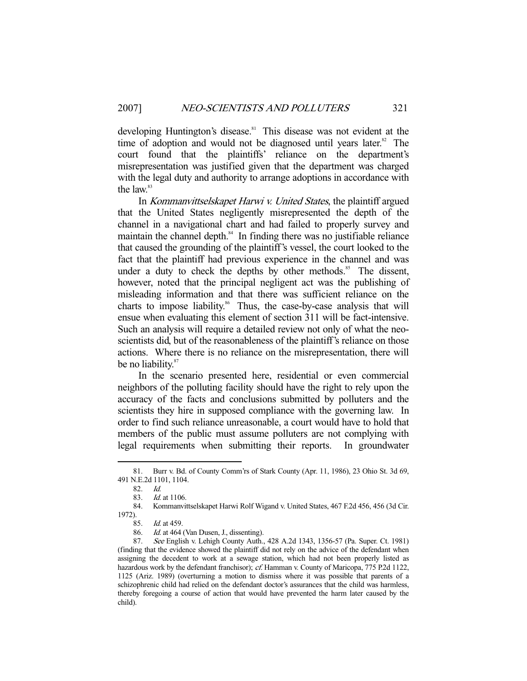developing Huntington's disease.<sup>81</sup> This disease was not evident at the time of adoption and would not be diagnosed until years later. $82$  The court found that the plaintiffs' reliance on the department's misrepresentation was justified given that the department was charged with the legal duty and authority to arrange adoptions in accordance with the law.<sup>83</sup>

 In Kommanvittselskapet Harwi v. United States, the plaintiff argued that the United States negligently misrepresented the depth of the channel in a navigational chart and had failed to properly survey and maintain the channel depth. $84$  In finding there was no justifiable reliance that caused the grounding of the plaintiff's vessel, the court looked to the fact that the plaintiff had previous experience in the channel and was under a duty to check the depths by other methods.<sup>85</sup> The dissent, however, noted that the principal negligent act was the publishing of misleading information and that there was sufficient reliance on the charts to impose liability.<sup>86</sup> Thus, the case-by-case analysis that will ensue when evaluating this element of section 311 will be fact-intensive. Such an analysis will require a detailed review not only of what the neoscientists did, but of the reasonableness of the plaintiff's reliance on those actions. Where there is no reliance on the misrepresentation, there will be no liability.<sup>87</sup>

 In the scenario presented here, residential or even commercial neighbors of the polluting facility should have the right to rely upon the accuracy of the facts and conclusions submitted by polluters and the scientists they hire in supposed compliance with the governing law. In order to find such reliance unreasonable, a court would have to hold that members of the public must assume polluters are not complying with legal requirements when submitting their reports. In groundwater

 <sup>81.</sup> Burr v. Bd. of County Comm'rs of Stark County (Apr. 11, 1986), 23 Ohio St. 3d 69, 491 N.E.2d 1101, 1104.

<sup>82.</sup> *Id.*<br>83. *Id.* 

 $1d$  at 1106.

 <sup>84.</sup> Kommanvittselskapet Harwi Rolf Wigand v. United States, 467 F.2d 456, 456 (3d Cir. 1972).

 <sup>85.</sup> Id. at 459.

 <sup>86.</sup> Id. at 464 (Van Dusen, J., dissenting).

 <sup>87.</sup> See English v. Lehigh County Auth., 428 A.2d 1343, 1356-57 (Pa. Super. Ct. 1981) (finding that the evidence showed the plaintiff did not rely on the advice of the defendant when assigning the decedent to work at a sewage station, which had not been properly listed as hazardous work by the defendant franchisor); cf. Hamman v. County of Maricopa, 775 P.2d 1122, 1125 (Ariz. 1989) (overturning a motion to dismiss where it was possible that parents of a schizophrenic child had relied on the defendant doctor's assurances that the child was harmless, thereby foregoing a course of action that would have prevented the harm later caused by the child).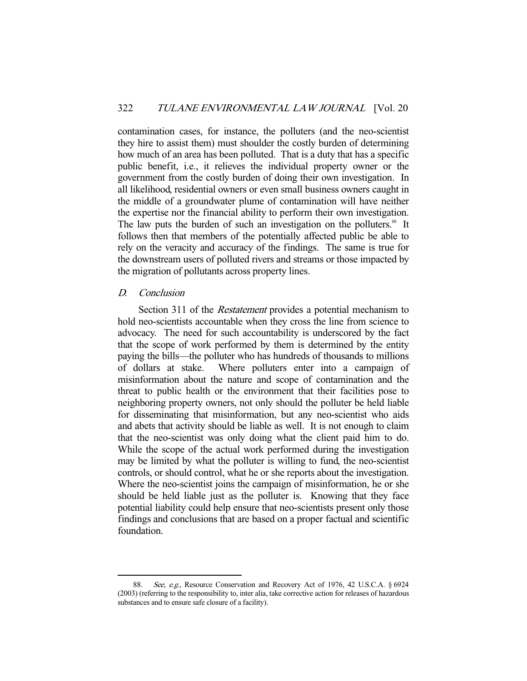contamination cases, for instance, the polluters (and the neo-scientist they hire to assist them) must shoulder the costly burden of determining how much of an area has been polluted. That is a duty that has a specific public benefit, i.e., it relieves the individual property owner or the government from the costly burden of doing their own investigation. In all likelihood, residential owners or even small business owners caught in the middle of a groundwater plume of contamination will have neither the expertise nor the financial ability to perform their own investigation. The law puts the burden of such an investigation on the polluters.<sup>88</sup> It follows then that members of the potentially affected public be able to rely on the veracity and accuracy of the findings. The same is true for the downstream users of polluted rivers and streams or those impacted by the migration of pollutants across property lines.

## D. Conclusion

-

Section 311 of the *Restatement* provides a potential mechanism to hold neo-scientists accountable when they cross the line from science to advocacy. The need for such accountability is underscored by the fact that the scope of work performed by them is determined by the entity paying the bills—the polluter who has hundreds of thousands to millions of dollars at stake. Where polluters enter into a campaign of misinformation about the nature and scope of contamination and the threat to public health or the environment that their facilities pose to neighboring property owners, not only should the polluter be held liable for disseminating that misinformation, but any neo-scientist who aids and abets that activity should be liable as well. It is not enough to claim that the neo-scientist was only doing what the client paid him to do. While the scope of the actual work performed during the investigation may be limited by what the polluter is willing to fund, the neo-scientist controls, or should control, what he or she reports about the investigation. Where the neo-scientist joins the campaign of misinformation, he or she should be held liable just as the polluter is. Knowing that they face potential liability could help ensure that neo-scientists present only those findings and conclusions that are based on a proper factual and scientific foundation.

See, e.g., Resource Conservation and Recovery Act of 1976, 42 U.S.C.A. § 6924 (2003) (referring to the responsibility to, inter alia, take corrective action for releases of hazardous substances and to ensure safe closure of a facility).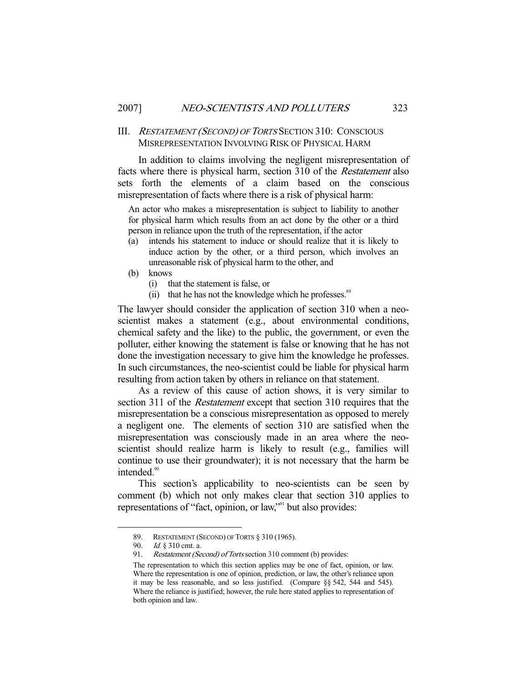## III. RESTATEMENT (SECOND) OF TORTS SECTION 310: CONSCIOUS MISREPRESENTATION INVOLVING RISK OF PHYSICAL HARM

 In addition to claims involving the negligent misrepresentation of facts where there is physical harm, section 310 of the Restatement also sets forth the elements of a claim based on the conscious misrepresentation of facts where there is a risk of physical harm:

An actor who makes a misrepresentation is subject to liability to another for physical harm which results from an act done by the other or a third person in reliance upon the truth of the representation, if the actor

- (a) intends his statement to induce or should realize that it is likely to induce action by the other, or a third person, which involves an unreasonable risk of physical harm to the other, and
- (b) knows
	- (i) that the statement is false, or
	- (ii) that he has not the knowledge which he professes. $88$

The lawyer should consider the application of section 310 when a neoscientist makes a statement (e.g., about environmental conditions, chemical safety and the like) to the public, the government, or even the polluter, either knowing the statement is false or knowing that he has not done the investigation necessary to give him the knowledge he professes. In such circumstances, the neo-scientist could be liable for physical harm resulting from action taken by others in reliance on that statement.

 As a review of this cause of action shows, it is very similar to section 311 of the *Restatement* except that section 310 requires that the misrepresentation be a conscious misrepresentation as opposed to merely a negligent one. The elements of section 310 are satisfied when the misrepresentation was consciously made in an area where the neoscientist should realize harm is likely to result (e.g., families will continue to use their groundwater); it is not necessary that the harm be intended.<sup>90</sup>

 This section's applicability to neo-scientists can be seen by comment (b) which not only makes clear that section 310 applies to representations of "fact, opinion, or law,"<sup>91</sup> but also provides:

 <sup>89.</sup> RESTATEMENT (SECOND) OF TORTS § 310 (1965).

 <sup>90.</sup> Id. § 310 cmt. a.

<sup>91.</sup> Restatement (Second) of Torts section 310 comment (b) provides:

The representation to which this section applies may be one of fact, opinion, or law. Where the representation is one of opinion, prediction, or law, the other's reliance upon it may be less reasonable, and so less justified. (Compare §§ 542, 544 and 545). Where the reliance is justified; however, the rule here stated applies to representation of both opinion and law.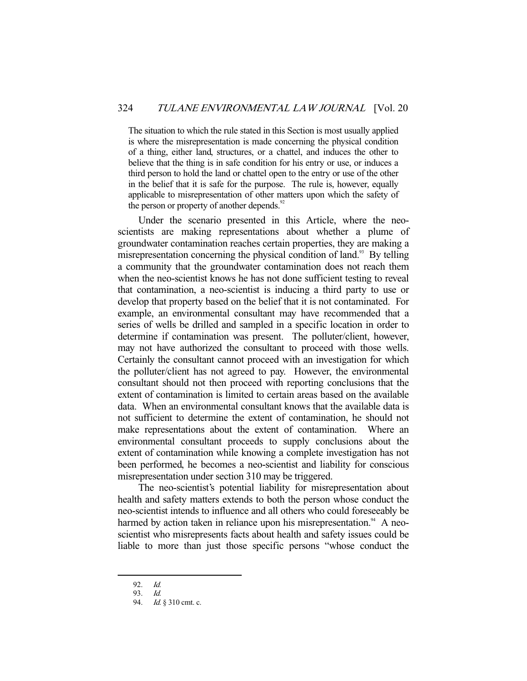The situation to which the rule stated in this Section is most usually applied is where the misrepresentation is made concerning the physical condition of a thing, either land, structures, or a chattel, and induces the other to believe that the thing is in safe condition for his entry or use, or induces a third person to hold the land or chattel open to the entry or use of the other in the belief that it is safe for the purpose. The rule is, however, equally applicable to misrepresentation of other matters upon which the safety of the person or property of another depends.<sup>92</sup>

 Under the scenario presented in this Article, where the neoscientists are making representations about whether a plume of groundwater contamination reaches certain properties, they are making a misrepresentation concerning the physical condition of land.<sup>93</sup> By telling a community that the groundwater contamination does not reach them when the neo-scientist knows he has not done sufficient testing to reveal that contamination, a neo-scientist is inducing a third party to use or develop that property based on the belief that it is not contaminated. For example, an environmental consultant may have recommended that a series of wells be drilled and sampled in a specific location in order to determine if contamination was present. The polluter/client, however, may not have authorized the consultant to proceed with those wells. Certainly the consultant cannot proceed with an investigation for which the polluter/client has not agreed to pay. However, the environmental consultant should not then proceed with reporting conclusions that the extent of contamination is limited to certain areas based on the available data. When an environmental consultant knows that the available data is not sufficient to determine the extent of contamination, he should not make representations about the extent of contamination. Where an environmental consultant proceeds to supply conclusions about the extent of contamination while knowing a complete investigation has not been performed, he becomes a neo-scientist and liability for conscious misrepresentation under section 310 may be triggered.

 The neo-scientist's potential liability for misrepresentation about health and safety matters extends to both the person whose conduct the neo-scientist intends to influence and all others who could foreseeably be harmed by action taken in reliance upon his misrepresentation.<sup>94</sup> A neoscientist who misrepresents facts about health and safety issues could be liable to more than just those specific persons "whose conduct the

 <sup>92.</sup> Id.

 <sup>93.</sup> Id.

<sup>94.</sup> *Id.* § 310 cmt. c.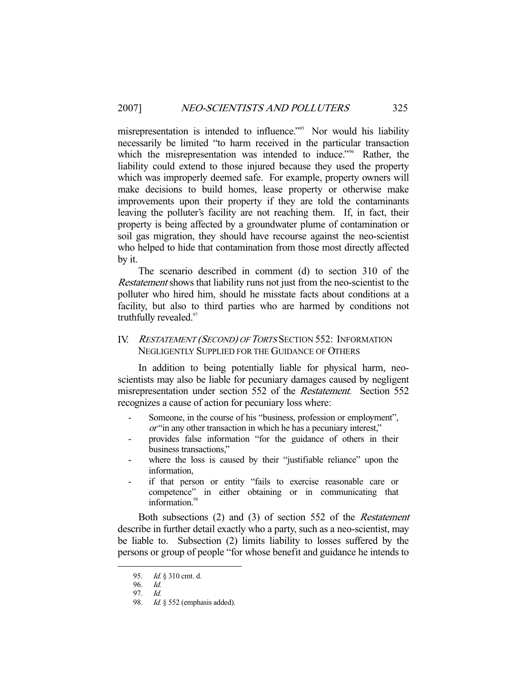misrepresentation is intended to influence."95 Nor would his liability necessarily be limited "to harm received in the particular transaction which the misrepresentation was intended to induce."<sup>96</sup> Rather, the liability could extend to those injured because they used the property which was improperly deemed safe. For example, property owners will make decisions to build homes, lease property or otherwise make improvements upon their property if they are told the contaminants leaving the polluter's facility are not reaching them. If, in fact, their property is being affected by a groundwater plume of contamination or soil gas migration, they should have recourse against the neo-scientist who helped to hide that contamination from those most directly affected by it.

 The scenario described in comment (d) to section 310 of the Restatement shows that liability runs not just from the neo-scientist to the polluter who hired him, should he misstate facts about conditions at a facility, but also to third parties who are harmed by conditions not truthfully revealed.<sup>97</sup>

## IV. RESTATEMENT (SECOND) OF TORTS SECTION 552: INFORMATION NEGLIGENTLY SUPPLIED FOR THE GUIDANCE OF OTHERS

 In addition to being potentially liable for physical harm, neoscientists may also be liable for pecuniary damages caused by negligent misrepresentation under section 552 of the Restatement. Section 552 recognizes a cause of action for pecuniary loss where:

- Someone, in the course of his "business, profession or employment". or "in any other transaction in which he has a pecuniary interest,"
- provides false information "for the guidance of others in their business transactions,"
- where the loss is caused by their "justifiable reliance" upon the information,
- if that person or entity "fails to exercise reasonable care or competence" in either obtaining or in communicating that information.<sup>98</sup>

Both subsections (2) and (3) of section 552 of the *Restatement* describe in further detail exactly who a party, such as a neo-scientist, may be liable to. Subsection (2) limits liability to losses suffered by the persons or group of people "for whose benefit and guidance he intends to

 <sup>95.</sup> Id. § 310 cmt. d.

 <sup>96.</sup> Id.

 <sup>97.</sup> Id.

<sup>98.</sup> Id. § 552 (emphasis added).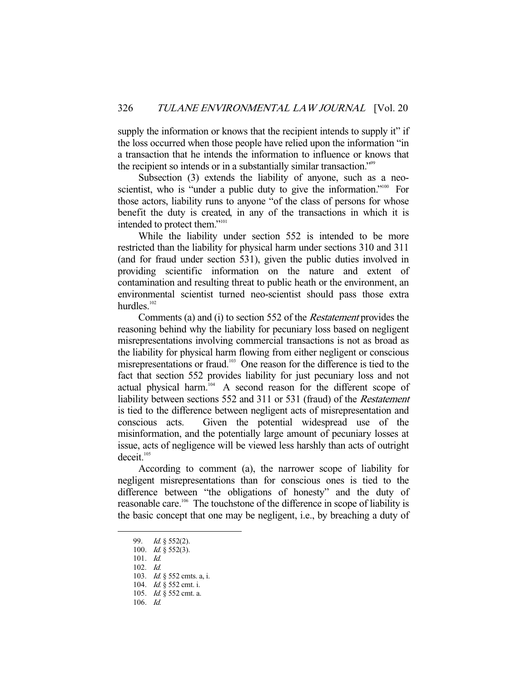supply the information or knows that the recipient intends to supply it" if the loss occurred when those people have relied upon the information "in a transaction that he intends the information to influence or knows that the recipient so intends or in a substantially similar transaction."99

Subsection (3) extends the liability of anyone, such as a neoscientist, who is "under a public duty to give the information."<sup>100</sup> For those actors, liability runs to anyone "of the class of persons for whose benefit the duty is created, in any of the transactions in which it is intended to protect them."<sup>101</sup>

 While the liability under section 552 is intended to be more restricted than the liability for physical harm under sections 310 and 311 (and for fraud under section 531), given the public duties involved in providing scientific information on the nature and extent of contamination and resulting threat to public heath or the environment, an environmental scientist turned neo-scientist should pass those extra hurdles. $102$ 

 Comments (a) and (i) to section 552 of the Restatement provides the reasoning behind why the liability for pecuniary loss based on negligent misrepresentations involving commercial transactions is not as broad as the liability for physical harm flowing from either negligent or conscious misrepresentations or fraud.<sup>103</sup> One reason for the difference is tied to the fact that section 552 provides liability for just pecuniary loss and not actual physical harm.<sup>104</sup> A second reason for the different scope of liability between sections 552 and 311 or 531 (fraud) of the Restatement is tied to the difference between negligent acts of misrepresentation and conscious acts. Given the potential widespread use of the misinformation, and the potentially large amount of pecuniary losses at issue, acts of negligence will be viewed less harshly than acts of outright  $dec$ eit. $105$ 

 According to comment (a), the narrower scope of liability for negligent misrepresentations than for conscious ones is tied to the difference between "the obligations of honesty" and the duty of reasonable care.<sup>106</sup> The touchstone of the difference in scope of liability is the basic concept that one may be negligent, i.e., by breaching a duty of

-

106. Id.

 <sup>99.</sup> Id. § 552(2).

 <sup>100.</sup> Id. § 552(3).

 <sup>101.</sup> Id.

 <sup>102.</sup> Id.

 <sup>103.</sup> Id. § 552 cmts. a, i.

<sup>104.</sup> *Id.* § 552 cmt. i.

<sup>105.</sup> *Id.* § 552 cmt. a.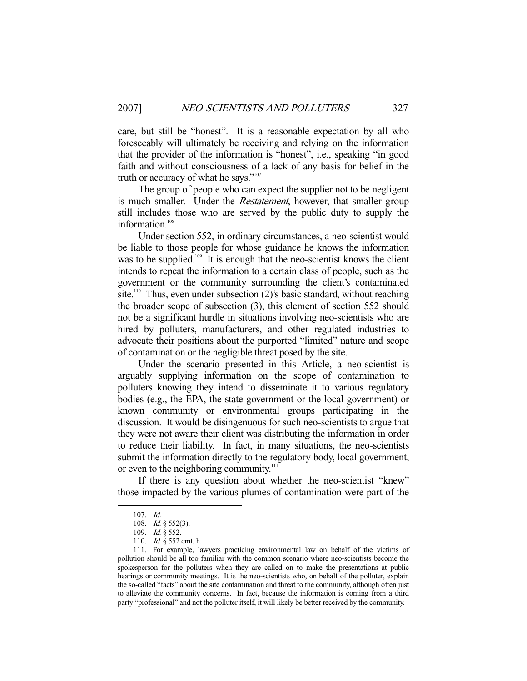care, but still be "honest". It is a reasonable expectation by all who foreseeably will ultimately be receiving and relying on the information that the provider of the information is "honest", i.e., speaking "in good faith and without consciousness of a lack of any basis for belief in the truth or accuracy of what he says."<sup>107</sup>

 The group of people who can expect the supplier not to be negligent is much smaller. Under the *Restatement*, however, that smaller group still includes those who are served by the public duty to supply the information.<sup>108</sup>

 Under section 552, in ordinary circumstances, a neo-scientist would be liable to those people for whose guidance he knows the information was to be supplied.<sup>109</sup> It is enough that the neo-scientist knows the client intends to repeat the information to a certain class of people, such as the government or the community surrounding the client's contaminated site.<sup>110</sup> Thus, even under subsection (2)'s basic standard, without reaching the broader scope of subsection (3), this element of section 552 should not be a significant hurdle in situations involving neo-scientists who are hired by polluters, manufacturers, and other regulated industries to advocate their positions about the purported "limited" nature and scope of contamination or the negligible threat posed by the site.

 Under the scenario presented in this Article, a neo-scientist is arguably supplying information on the scope of contamination to polluters knowing they intend to disseminate it to various regulatory bodies (e.g., the EPA, the state government or the local government) or known community or environmental groups participating in the discussion. It would be disingenuous for such neo-scientists to argue that they were not aware their client was distributing the information in order to reduce their liability. In fact, in many situations, the neo-scientists submit the information directly to the regulatory body, local government, or even to the neighboring community.<sup>111</sup>

 If there is any question about whether the neo-scientist "knew" those impacted by the various plumes of contamination were part of the

 <sup>107.</sup> Id.

<sup>108.</sup> *Id.* § 552(3).

<sup>109.</sup> *Id.* § 552.

 <sup>110.</sup> Id. § 552 cmt. h.

 <sup>111.</sup> For example, lawyers practicing environmental law on behalf of the victims of pollution should be all too familiar with the common scenario where neo-scientists become the spokesperson for the polluters when they are called on to make the presentations at public hearings or community meetings. It is the neo-scientists who, on behalf of the polluter, explain the so-called "facts" about the site contamination and threat to the community, although often just to alleviate the community concerns. In fact, because the information is coming from a third party "professional" and not the polluter itself, it will likely be better received by the community.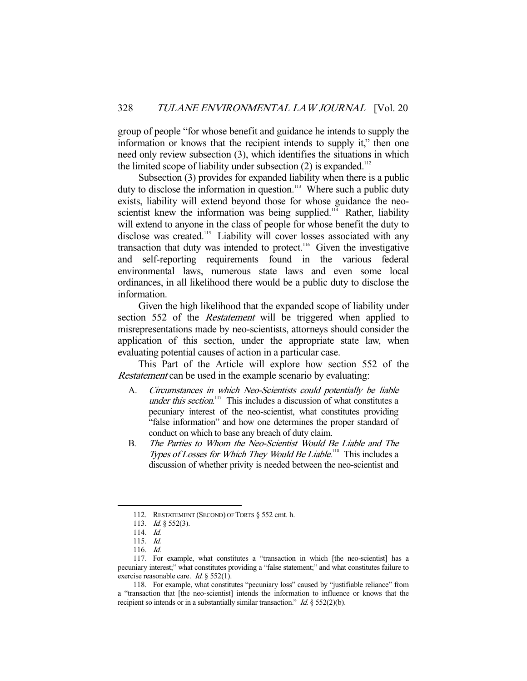group of people "for whose benefit and guidance he intends to supply the information or knows that the recipient intends to supply it," then one need only review subsection (3), which identifies the situations in which the limited scope of liability under subsection  $(2)$  is expanded.<sup>112</sup>

 Subsection (3) provides for expanded liability when there is a public duty to disclose the information in question.<sup>113</sup> Where such a public duty exists, liability will extend beyond those for whose guidance the neoscientist knew the information was being supplied.<sup>114</sup> Rather, liability will extend to anyone in the class of people for whose benefit the duty to disclose was created.<sup>115</sup> Liability will cover losses associated with any transaction that duty was intended to protect.116 Given the investigative and self-reporting requirements found in the various federal environmental laws, numerous state laws and even some local ordinances, in all likelihood there would be a public duty to disclose the information.

 Given the high likelihood that the expanded scope of liability under section 552 of the *Restatement* will be triggered when applied to misrepresentations made by neo-scientists, attorneys should consider the application of this section, under the appropriate state law, when evaluating potential causes of action in a particular case.

 This Part of the Article will explore how section 552 of the Restatement can be used in the example scenario by evaluating:

- A. Circumstances in which Neo-Scientists could potentially be liable under this section.<sup>117</sup> This includes a discussion of what constitutes a pecuniary interest of the neo-scientist, what constitutes providing "false information" and how one determines the proper standard of conduct on which to base any breach of duty claim.
- B. The Parties to Whom the Neo-Scientist Would Be Liable and The Types of Losses for Which They Would Be Liable.<sup>118</sup> This includes a discussion of whether privity is needed between the neo-scientist and

 <sup>112.</sup> RESTATEMENT (SECOND) OF TORTS § 552 cmt. h.

<sup>113.</sup> *Id.* § 552(3).

 <sup>114.</sup> Id.

 <sup>115.</sup> Id.

 <sup>116.</sup> Id.

 <sup>117.</sup> For example, what constitutes a "transaction in which [the neo-scientist] has a pecuniary interest;" what constitutes providing a "false statement;" and what constitutes failure to exercise reasonable care. *Id.* § 552(1).

 <sup>118.</sup> For example, what constitutes "pecuniary loss" caused by "justifiable reliance" from a "transaction that [the neo-scientist] intends the information to influence or knows that the recipient so intends or in a substantially similar transaction." *Id.*  $\S$  552(2)(b).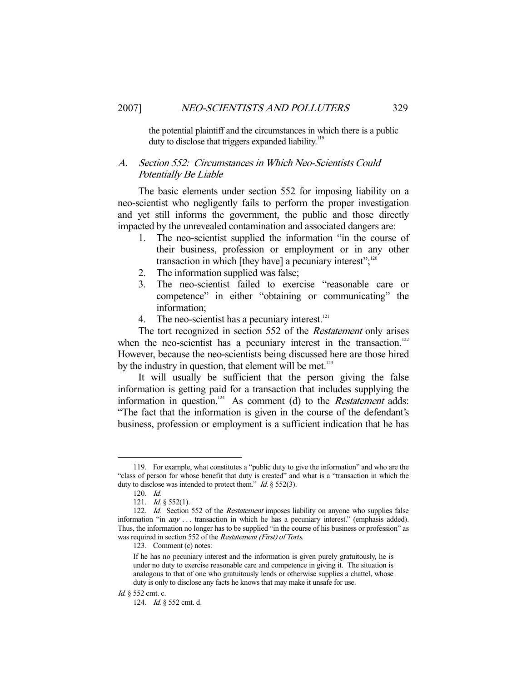the potential plaintiff and the circumstances in which there is a public duty to disclose that triggers expanded liability.<sup>119</sup>

## A. Section 552: Circumstances in Which Neo-Scientists Could Potentially Be Liable

 The basic elements under section 552 for imposing liability on a neo-scientist who negligently fails to perform the proper investigation and yet still informs the government, the public and those directly impacted by the unrevealed contamination and associated dangers are:

- 1. The neo-scientist supplied the information "in the course of their business, profession or employment or in any other transaction in which [they have] a pecuniary interest"; $120$
- 2. The information supplied was false;
- 3. The neo-scientist failed to exercise "reasonable care or competence" in either "obtaining or communicating" the information;
- 4. The neo-scientist has a pecuniary interest. $^{121}$

 The tort recognized in section 552 of the Restatement only arises when the neo-scientist has a pecuniary interest in the transaction.<sup>122</sup> However, because the neo-scientists being discussed here are those hired by the industry in question, that element will be met. $123$ 

 It will usually be sufficient that the person giving the false information is getting paid for a transaction that includes supplying the information in question.<sup>124</sup> As comment (d) to the *Restatement* adds: "The fact that the information is given in the course of the defendant's business, profession or employment is a sufficient indication that he has

 <sup>119.</sup> For example, what constitutes a "public duty to give the information" and who are the "class of person for whose benefit that duty is created" and what is a "transaction in which the duty to disclose was intended to protect them."  $Id. \S$  552(3).

 <sup>120.</sup> Id.

<sup>121.</sup> *Id.* § 552(1).

<sup>122.</sup> *Id.* Section 552 of the *Restatement* imposes liability on anyone who supplies false information "in *any* . . . transaction in which he has a pecuniary interest." (emphasis added). Thus, the information no longer has to be supplied "in the course of his business or profession" as was required in section 552 of the *Restatement (First) of Torts*.

 <sup>123.</sup> Comment (c) notes:

If he has no pecuniary interest and the information is given purely gratuitously, he is under no duty to exercise reasonable care and competence in giving it. The situation is analogous to that of one who gratuitously lends or otherwise supplies a chattel, whose duty is only to disclose any facts he knows that may make it unsafe for use.

Id. § 552 cmt. c.

 <sup>124.</sup> Id. § 552 cmt. d.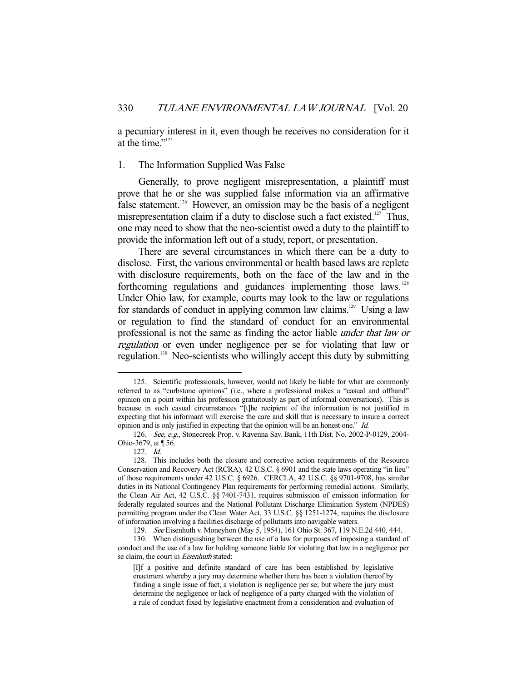a pecuniary interest in it, even though he receives no consideration for it at the time."<sup>125</sup>

## 1. The Information Supplied Was False

 Generally, to prove negligent misrepresentation, a plaintiff must prove that he or she was supplied false information via an affirmative false statement.<sup>126</sup> However, an omission may be the basis of a negligent misrepresentation claim if a duty to disclose such a fact existed.<sup>127</sup> Thus, one may need to show that the neo-scientist owed a duty to the plaintiff to provide the information left out of a study, report, or presentation.

 There are several circumstances in which there can be a duty to disclose. First, the various environmental or health based laws are replete with disclosure requirements, both on the face of the law and in the forthcoming regulations and guidances implementing those laws.<sup>128</sup> Under Ohio law, for example, courts may look to the law or regulations for standards of conduct in applying common law claims.<sup>129</sup> Using a law or regulation to find the standard of conduct for an environmental professional is not the same as finding the actor liable under that law or regulation or even under negligence per se for violating that law or regulation.130 Neo-scientists who willingly accept this duty by submitting

 <sup>125.</sup> Scientific professionals, however, would not likely be liable for what are commonly referred to as "curbstone opinions" (i.e., where a professional makes a "casual and offhand" opinion on a point within his profession gratuitously as part of informal conversations). This is because in such casual circumstances "[t]he recipient of the information is not justified in expecting that his informant will exercise the care and skill that is necessary to insure a correct opinion and is only justified in expecting that the opinion will be an honest one." Id.

 <sup>126.</sup> See, e.g., Stonecreek Prop. v. Ravenna Sav. Bank, 11th Dist. No. 2002-P-0129, 2004- Ohio-3679, at ¶ 56.

 <sup>127.</sup> Id.

 <sup>128.</sup> This includes both the closure and corrective action requirements of the Resource Conservation and Recovery Act (RCRA), 42 U.S.C. § 6901 and the state laws operating "in lieu" of those requirements under 42 U.S.C. § 6926. CERCLA, 42 U.S.C. §§ 9701-9708, has similar duties in its National Contingency Plan requirements for performing remedial actions. Similarly, the Clean Air Act, 42 U.S.C. §§ 7401-7431, requires submission of emission information for federally regulated sources and the National Pollutant Discharge Elimination System (NPDES) permitting program under the Clean Water Act, 33 U.S.C. §§ 1251-1274, requires the disclosure of information involving a facilities discharge of pollutants into navigable waters.

 <sup>129.</sup> See Eisenhuth v. Moneyhon (May 5, 1954), 161 Ohio St. 367, 119 N.E.2d 440, 444.

 <sup>130.</sup> When distinguishing between the use of a law for purposes of imposing a standard of conduct and the use of a law for holding someone liable for violating that law in a negligence per se claim, the court in Eisenhuth stated:

<sup>[</sup>I]f a positive and definite standard of care has been established by legislative enactment whereby a jury may determine whether there has been a violation thereof by finding a single issue of fact, a violation is negligence per se; but where the jury must determine the negligence or lack of negligence of a party charged with the violation of a rule of conduct fixed by legislative enactment from a consideration and evaluation of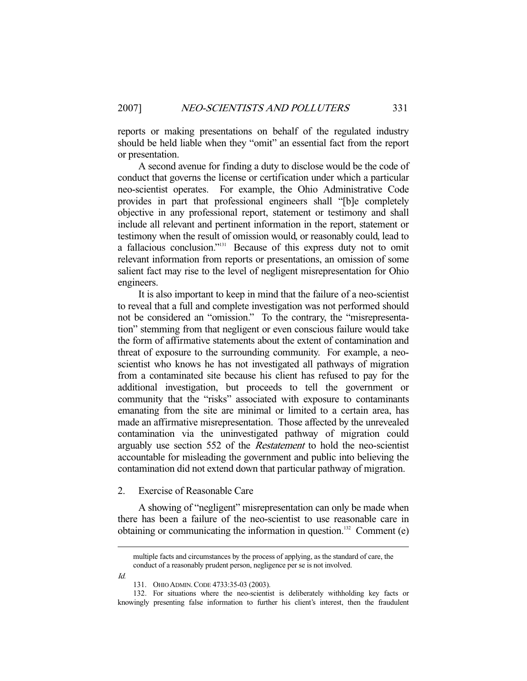reports or making presentations on behalf of the regulated industry should be held liable when they "omit" an essential fact from the report or presentation.

 A second avenue for finding a duty to disclose would be the code of conduct that governs the license or certification under which a particular neo-scientist operates. For example, the Ohio Administrative Code provides in part that professional engineers shall "[b]e completely objective in any professional report, statement or testimony and shall include all relevant and pertinent information in the report, statement or testimony when the result of omission would, or reasonably could, lead to a fallacious conclusion."131 Because of this express duty not to omit relevant information from reports or presentations, an omission of some salient fact may rise to the level of negligent misrepresentation for Ohio engineers.

 It is also important to keep in mind that the failure of a neo-scientist to reveal that a full and complete investigation was not performed should not be considered an "omission." To the contrary, the "misrepresentation" stemming from that negligent or even conscious failure would take the form of affirmative statements about the extent of contamination and threat of exposure to the surrounding community. For example, a neoscientist who knows he has not investigated all pathways of migration from a contaminated site because his client has refused to pay for the additional investigation, but proceeds to tell the government or community that the "risks" associated with exposure to contaminants emanating from the site are minimal or limited to a certain area, has made an affirmative misrepresentation. Those affected by the unrevealed contamination via the uninvestigated pathway of migration could arguably use section 552 of the Restatement to hold the neo-scientist accountable for misleading the government and public into believing the contamination did not extend down that particular pathway of migration.

#### 2. Exercise of Reasonable Care

 A showing of "negligent" misrepresentation can only be made when there has been a failure of the neo-scientist to use reasonable care in obtaining or communicating the information in question.<sup>132</sup> Comment (e)

Id.

multiple facts and circumstances by the process of applying, as the standard of care, the conduct of a reasonably prudent person, negligence per se is not involved.

 <sup>131.</sup> OHIO ADMIN.CODE 4733:35-03 (2003).

 <sup>132.</sup> For situations where the neo-scientist is deliberately withholding key facts or knowingly presenting false information to further his client's interest, then the fraudulent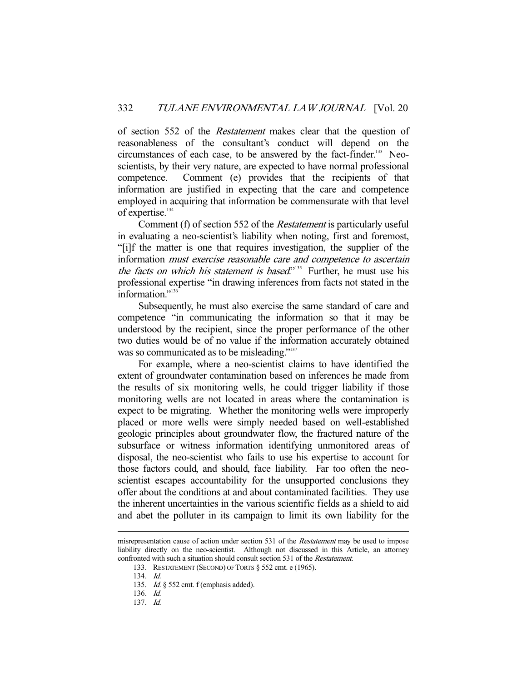of section 552 of the Restatement makes clear that the question of reasonableness of the consultant's conduct will depend on the circumstances of each case, to be answered by the fact-finder.<sup>133</sup> Neoscientists, by their very nature, are expected to have normal professional competence. Comment (e) provides that the recipients of that information are justified in expecting that the care and competence employed in acquiring that information be commensurate with that level of expertise.<sup>134</sup>

 Comment (f) of section 552 of the Restatement is particularly useful in evaluating a neo-scientist's liability when noting, first and foremost, "[i]f the matter is one that requires investigation, the supplier of the information must exercise reasonable care and competence to ascertain the facts on which his statement is based."<sup>135</sup> Further, he must use his professional expertise "in drawing inferences from facts not stated in the information."<sup>136</sup>

 Subsequently, he must also exercise the same standard of care and competence "in communicating the information so that it may be understood by the recipient, since the proper performance of the other two duties would be of no value if the information accurately obtained was so communicated as to be misleading."<sup>137</sup>

 For example, where a neo-scientist claims to have identified the extent of groundwater contamination based on inferences he made from the results of six monitoring wells, he could trigger liability if those monitoring wells are not located in areas where the contamination is expect to be migrating. Whether the monitoring wells were improperly placed or more wells were simply needed based on well-established geologic principles about groundwater flow, the fractured nature of the subsurface or witness information identifying unmonitored areas of disposal, the neo-scientist who fails to use his expertise to account for those factors could, and should, face liability. Far too often the neoscientist escapes accountability for the unsupported conclusions they offer about the conditions at and about contaminated facilities. They use the inherent uncertainties in the various scientific fields as a shield to aid and abet the polluter in its campaign to limit its own liability for the

misrepresentation cause of action under section 531 of the *Restatement* may be used to impose liability directly on the neo-scientist. Although not discussed in this Article, an attorney confronted with such a situation should consult section 531 of the Restatement.

 <sup>133.</sup> RESTATEMENT (SECOND) OF TORTS § 552 cmt. e (1965).

 <sup>134.</sup> Id.

 <sup>135.</sup> Id. § 552 cmt. f (emphasis added).

 <sup>136.</sup> Id.

 <sup>137.</sup> Id.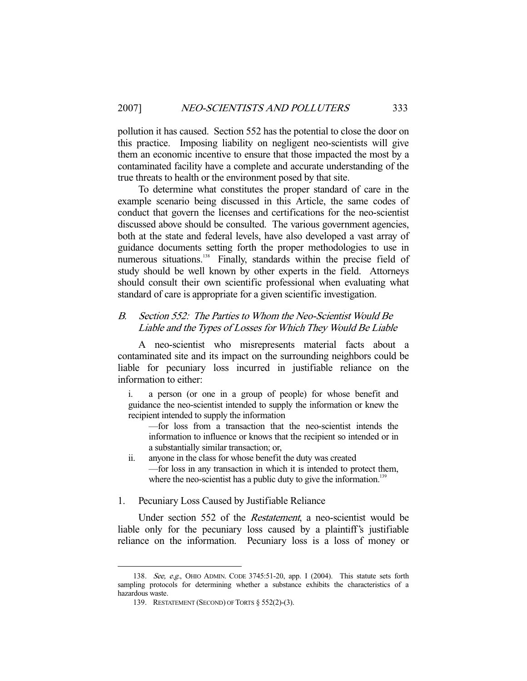pollution it has caused. Section 552 has the potential to close the door on this practice. Imposing liability on negligent neo-scientists will give them an economic incentive to ensure that those impacted the most by a contaminated facility have a complete and accurate understanding of the true threats to health or the environment posed by that site.

 To determine what constitutes the proper standard of care in the example scenario being discussed in this Article, the same codes of conduct that govern the licenses and certifications for the neo-scientist discussed above should be consulted. The various government agencies, both at the state and federal levels, have also developed a vast array of guidance documents setting forth the proper methodologies to use in numerous situations.<sup>138</sup> Finally, standards within the precise field of study should be well known by other experts in the field. Attorneys should consult their own scientific professional when evaluating what standard of care is appropriate for a given scientific investigation.

## B. Section 552: The Parties to Whom the Neo-Scientist Would Be Liable and the Types of Losses for Which They Would Be Liable

 A neo-scientist who misrepresents material facts about a contaminated site and its impact on the surrounding neighbors could be liable for pecuniary loss incurred in justifiable reliance on the information to either:

i. a person (or one in a group of people) for whose benefit and guidance the neo-scientist intended to supply the information or knew the recipient intended to supply the information

—for loss from a transaction that the neo-scientist intends the information to influence or knows that the recipient so intended or in a substantially similar transaction; or,

ii. anyone in the class for whose benefit the duty was created —for loss in any transaction in which it is intended to protect them, where the neo-scientist has a public duty to give the information.<sup>139</sup>

## 1. Pecuniary Loss Caused by Justifiable Reliance

Under section 552 of the *Restatement*, a neo-scientist would be liable only for the pecuniary loss caused by a plaintiff's justifiable reliance on the information. Pecuniary loss is a loss of money or

 <sup>138.</sup> See, e.g., OHIO ADMIN. CODE 3745:51-20, app. I (2004). This statute sets forth sampling protocols for determining whether a substance exhibits the characteristics of a hazardous waste.

 <sup>139.</sup> RESTATEMENT (SECOND) OF TORTS § 552(2)-(3).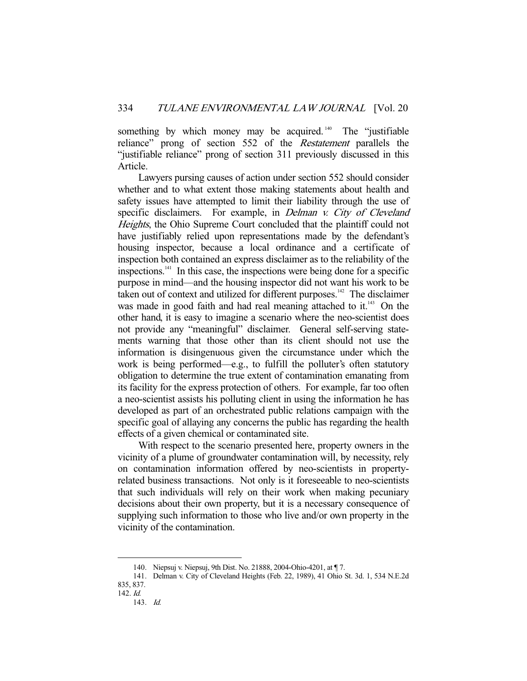something by which money may be acquired.<sup>140</sup> The "justifiable" reliance" prong of section 552 of the Restatement parallels the "justifiable reliance" prong of section 311 previously discussed in this Article.

 Lawyers pursing causes of action under section 552 should consider whether and to what extent those making statements about health and safety issues have attempted to limit their liability through the use of specific disclaimers. For example, in *Delman v. City of Cleveland* Heights, the Ohio Supreme Court concluded that the plaintiff could not have justifiably relied upon representations made by the defendant's housing inspector, because a local ordinance and a certificate of inspection both contained an express disclaimer as to the reliability of the inspections.141 In this case, the inspections were being done for a specific purpose in mind—and the housing inspector did not want his work to be taken out of context and utilized for different purposes.<sup>142</sup> The disclaimer was made in good faith and had real meaning attached to it.<sup>143</sup> On the other hand, it is easy to imagine a scenario where the neo-scientist does not provide any "meaningful" disclaimer. General self-serving statements warning that those other than its client should not use the information is disingenuous given the circumstance under which the work is being performed—e.g., to fulfill the polluter's often statutory obligation to determine the true extent of contamination emanating from its facility for the express protection of others. For example, far too often a neo-scientist assists his polluting client in using the information he has developed as part of an orchestrated public relations campaign with the specific goal of allaying any concerns the public has regarding the health effects of a given chemical or contaminated site.

 With respect to the scenario presented here, property owners in the vicinity of a plume of groundwater contamination will, by necessity, rely on contamination information offered by neo-scientists in propertyrelated business transactions. Not only is it foreseeable to neo-scientists that such individuals will rely on their work when making pecuniary decisions about their own property, but it is a necessary consequence of supplying such information to those who live and/or own property in the vicinity of the contamination.

 <sup>140.</sup> Niepsuj v. Niepsuj, 9th Dist. No. 21888, 2004-Ohio-4201, at ¶ 7.

 <sup>141.</sup> Delman v. City of Cleveland Heights (Feb. 22, 1989), 41 Ohio St. 3d. 1, 534 N.E.2d 835, 837.

<sup>142.</sup> Id.

 <sup>143.</sup> Id.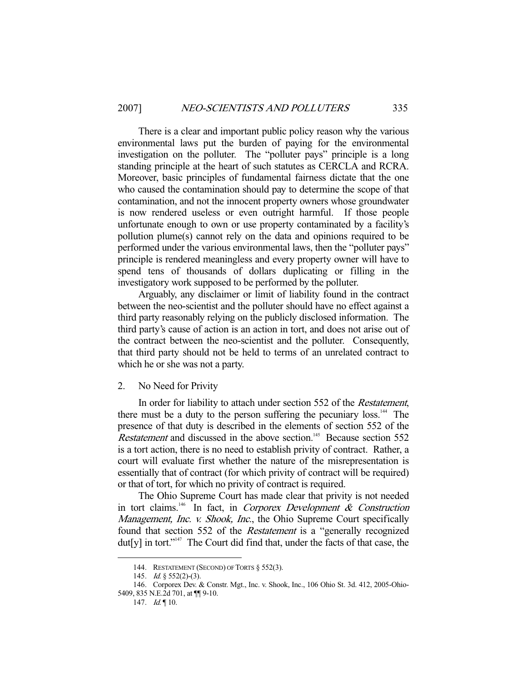There is a clear and important public policy reason why the various environmental laws put the burden of paying for the environmental investigation on the polluter. The "polluter pays" principle is a long standing principle at the heart of such statutes as CERCLA and RCRA. Moreover, basic principles of fundamental fairness dictate that the one who caused the contamination should pay to determine the scope of that contamination, and not the innocent property owners whose groundwater is now rendered useless or even outright harmful. If those people unfortunate enough to own or use property contaminated by a facility's pollution plume(s) cannot rely on the data and opinions required to be performed under the various environmental laws, then the "polluter pays" principle is rendered meaningless and every property owner will have to spend tens of thousands of dollars duplicating or filling in the investigatory work supposed to be performed by the polluter.

 Arguably, any disclaimer or limit of liability found in the contract between the neo-scientist and the polluter should have no effect against a third party reasonably relying on the publicly disclosed information. The third party's cause of action is an action in tort, and does not arise out of the contract between the neo-scientist and the polluter. Consequently, that third party should not be held to terms of an unrelated contract to which he or she was not a party.

#### 2. No Need for Privity

 In order for liability to attach under section 552 of the Restatement, there must be a duty to the person suffering the pecuniary  $loss<sup>144</sup>$ . The presence of that duty is described in the elements of section 552 of the Restatement and discussed in the above section.<sup>145</sup> Because section 552 is a tort action, there is no need to establish privity of contract. Rather, a court will evaluate first whether the nature of the misrepresentation is essentially that of contract (for which privity of contract will be required) or that of tort, for which no privity of contract is required.

 The Ohio Supreme Court has made clear that privity is not needed in tort claims.<sup>146</sup> In fact, in Corporex Development  $\&$  Construction Management, Inc. v. Shook, Inc., the Ohio Supreme Court specifically found that section 552 of the Restatement is a "generally recognized dut<sup>[y]</sup> in tort."<sup>147</sup> The Court did find that, under the facts of that case, the

<sup>144.</sup> RESTATEMENT (SECOND) OF TORTS § 552(3).

 <sup>145.</sup> Id. § 552(2)-(3).

 <sup>146.</sup> Corporex Dev. & Constr. Mgt., Inc. v. Shook, Inc., 106 Ohio St. 3d. 412, 2005-Ohio-5409, 835 N.E.2d 701, at ¶¶ 9-10.

<sup>147.</sup>  $Id. \P 10$ .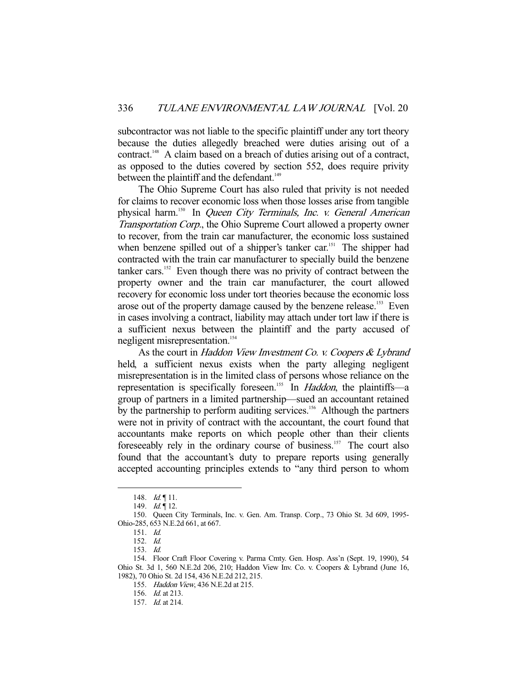subcontractor was not liable to the specific plaintiff under any tort theory because the duties allegedly breached were duties arising out of a contract.<sup>148</sup> A claim based on a breach of duties arising out of a contract, as opposed to the duties covered by section 552, does require privity between the plaintiff and the defendant.<sup>149</sup>

 The Ohio Supreme Court has also ruled that privity is not needed for claims to recover economic loss when those losses arise from tangible physical harm.<sup>150</sup> In Queen City Terminals, Inc. v. General American Transportation Corp., the Ohio Supreme Court allowed a property owner to recover, from the train car manufacturer, the economic loss sustained when benzene spilled out of a shipper's tanker car.<sup>151</sup> The shipper had contracted with the train car manufacturer to specially build the benzene tanker cars.<sup>152</sup> Even though there was no privity of contract between the property owner and the train car manufacturer, the court allowed recovery for economic loss under tort theories because the economic loss arose out of the property damage caused by the benzene release.<sup>153</sup> Even in cases involving a contract, liability may attach under tort law if there is a sufficient nexus between the plaintiff and the party accused of negligent misrepresentation.<sup>154</sup>

As the court in Haddon View Investment Co. v. Coopers & Lybrand held, a sufficient nexus exists when the party alleging negligent misrepresentation is in the limited class of persons whose reliance on the representation is specifically foreseen.<sup>155</sup> In *Haddon*, the plaintiffs—a group of partners in a limited partnership—sued an accountant retained by the partnership to perform auditing services.<sup>156</sup> Although the partners were not in privity of contract with the accountant, the court found that accountants make reports on which people other than their clients foreseeably rely in the ordinary course of business.<sup>157</sup> The court also found that the accountant's duty to prepare reports using generally accepted accounting principles extends to "any third person to whom

<sup>148.</sup> *Id.* 11.

<sup>149.</sup> *Id.* 12.

 <sup>150.</sup> Queen City Terminals, Inc. v. Gen. Am. Transp. Corp., 73 Ohio St. 3d 609, 1995- Ohio-285, 653 N.E.2d 661, at 667.

 <sup>151.</sup> Id.

 <sup>152.</sup> Id.

 <sup>153.</sup> Id.

 <sup>154.</sup> Floor Craft Floor Covering v. Parma Cmty. Gen. Hosp. Ass'n (Sept. 19, 1990), 54 Ohio St. 3d 1, 560 N.E.2d 206, 210; Haddon View Inv. Co. v. Coopers & Lybrand (June 16, 1982), 70 Ohio St. 2d 154, 436 N.E.2d 212, 215.

 <sup>155.</sup> Haddon View, 436 N.E.2d at 215.

 <sup>156.</sup> Id. at 213.

 <sup>157.</sup> Id. at 214.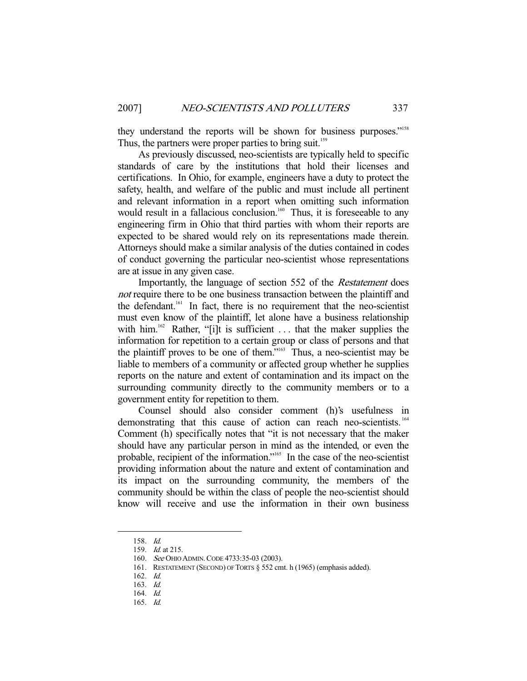they understand the reports will be shown for business purposes."<sup>158</sup> Thus, the partners were proper parties to bring suit.<sup>159</sup>

 As previously discussed, neo-scientists are typically held to specific standards of care by the institutions that hold their licenses and certifications. In Ohio, for example, engineers have a duty to protect the safety, health, and welfare of the public and must include all pertinent and relevant information in a report when omitting such information would result in a fallacious conclusion.<sup>160</sup> Thus, it is foreseeable to any engineering firm in Ohio that third parties with whom their reports are expected to be shared would rely on its representations made therein. Attorneys should make a similar analysis of the duties contained in codes of conduct governing the particular neo-scientist whose representations are at issue in any given case.

Importantly, the language of section 552 of the *Restatement* does not require there to be one business transaction between the plaintiff and the defendant.<sup>161</sup> In fact, there is no requirement that the neo-scientist must even know of the plaintiff, let alone have a business relationship with him.<sup>162</sup> Rather, "[i]t is sufficient  $\dots$  that the maker supplies the information for repetition to a certain group or class of persons and that the plaintiff proves to be one of them."<sup>163</sup> Thus, a neo-scientist may be liable to members of a community or affected group whether he supplies reports on the nature and extent of contamination and its impact on the surrounding community directly to the community members or to a government entity for repetition to them.

 Counsel should also consider comment (h)'s usefulness in demonstrating that this cause of action can reach neo-scientists.<sup>164</sup> Comment (h) specifically notes that "it is not necessary that the maker should have any particular person in mind as the intended, or even the probable, recipient of the information."<sup>165</sup> In the case of the neo-scientist providing information about the nature and extent of contamination and its impact on the surrounding community, the members of the community should be within the class of people the neo-scientist should know will receive and use the information in their own business

 <sup>158.</sup> Id.

 <sup>159.</sup> Id. at 215.

 <sup>160.</sup> See OHIO ADMIN.CODE 4733:35-03 (2003).

 <sup>161.</sup> RESTATEMENT (SECOND) OF TORTS § 552 cmt. h (1965) (emphasis added).

 <sup>162.</sup> Id.

 <sup>163.</sup> Id.

 <sup>164.</sup> Id.

 <sup>165.</sup> Id.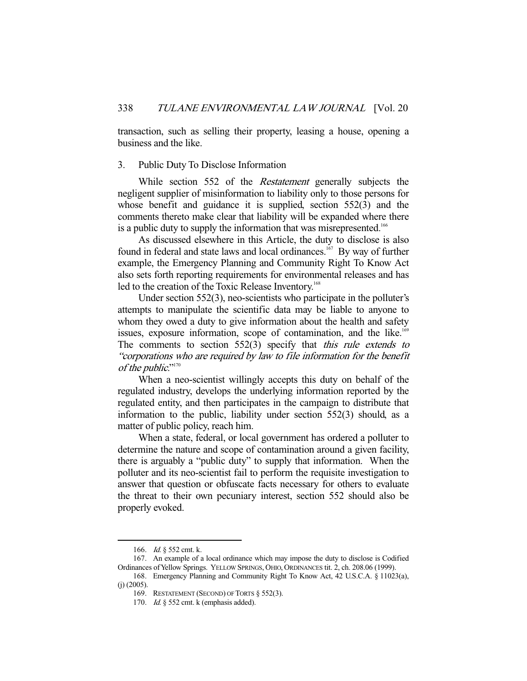transaction, such as selling their property, leasing a house, opening a business and the like.

## 3. Public Duty To Disclose Information

While section 552 of the *Restatement* generally subjects the negligent supplier of misinformation to liability only to those persons for whose benefit and guidance it is supplied, section 552(3) and the comments thereto make clear that liability will be expanded where there is a public duty to supply the information that was misrepresented.<sup>166</sup>

 As discussed elsewhere in this Article, the duty to disclose is also found in federal and state laws and local ordinances.<sup>167</sup> By way of further example, the Emergency Planning and Community Right To Know Act also sets forth reporting requirements for environmental releases and has led to the creation of the Toxic Release Inventory.<sup>168</sup>

 Under section 552(3), neo-scientists who participate in the polluter's attempts to manipulate the scientific data may be liable to anyone to whom they owed a duty to give information about the health and safety issues, exposure information, scope of contamination, and the like.<sup>169</sup> The comments to section  $552(3)$  specify that *this rule extends to* "corporations who are required by law to file information for the benefit of the public."<sup>170</sup>

 When a neo-scientist willingly accepts this duty on behalf of the regulated industry, develops the underlying information reported by the regulated entity, and then participates in the campaign to distribute that information to the public, liability under section 552(3) should, as a matter of public policy, reach him.

 When a state, federal, or local government has ordered a polluter to determine the nature and scope of contamination around a given facility, there is arguably a "public duty" to supply that information. When the polluter and its neo-scientist fail to perform the requisite investigation to answer that question or obfuscate facts necessary for others to evaluate the threat to their own pecuniary interest, section 552 should also be properly evoked.

 <sup>166.</sup> Id. § 552 cmt. k.

 <sup>167.</sup> An example of a local ordinance which may impose the duty to disclose is Codified Ordinances of Yellow Springs. YELLOW SPRINGS, OHIO, ORDINANCES tit. 2, ch. 208.06 (1999).

 <sup>168.</sup> Emergency Planning and Community Right To Know Act, 42 U.S.C.A. § 11023(a), (j) (2005).

 <sup>169.</sup> RESTATEMENT (SECOND) OF TORTS § 552(3).

 <sup>170.</sup> Id. § 552 cmt. k (emphasis added).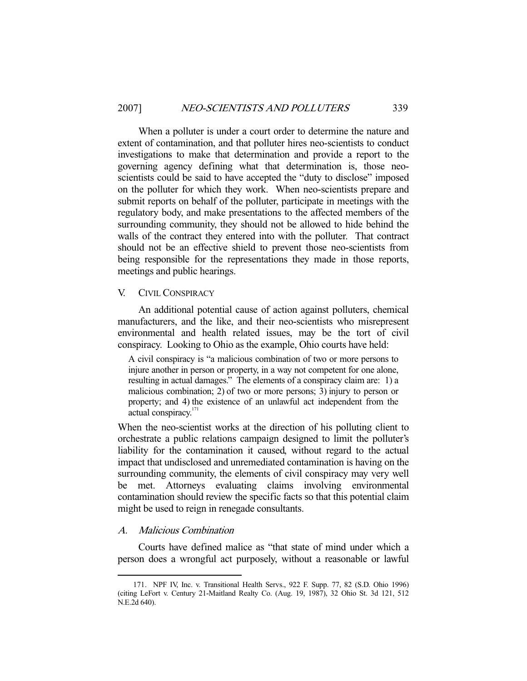When a polluter is under a court order to determine the nature and extent of contamination, and that polluter hires neo-scientists to conduct investigations to make that determination and provide a report to the governing agency defining what that determination is, those neoscientists could be said to have accepted the "duty to disclose" imposed on the polluter for which they work. When neo-scientists prepare and submit reports on behalf of the polluter, participate in meetings with the regulatory body, and make presentations to the affected members of the surrounding community, they should not be allowed to hide behind the walls of the contract they entered into with the polluter. That contract should not be an effective shield to prevent those neo-scientists from being responsible for the representations they made in those reports, meetings and public hearings.

## V. CIVIL CONSPIRACY

 An additional potential cause of action against polluters, chemical manufacturers, and the like, and their neo-scientists who misrepresent environmental and health related issues, may be the tort of civil conspiracy. Looking to Ohio as the example, Ohio courts have held:

A civil conspiracy is "a malicious combination of two or more persons to injure another in person or property, in a way not competent for one alone, resulting in actual damages." The elements of a conspiracy claim are: 1) a malicious combination; 2) of two or more persons; 3) injury to person or property; and 4) the existence of an unlawful act independent from the actual conspiracy.<sup>171</sup>

When the neo-scientist works at the direction of his polluting client to orchestrate a public relations campaign designed to limit the polluter's liability for the contamination it caused, without regard to the actual impact that undisclosed and unremediated contamination is having on the surrounding community, the elements of civil conspiracy may very well be met. Attorneys evaluating claims involving environmental contamination should review the specific facts so that this potential claim might be used to reign in renegade consultants.

## A. Malicious Combination

-

 Courts have defined malice as "that state of mind under which a person does a wrongful act purposely, without a reasonable or lawful

 <sup>171.</sup> NPF IV, Inc. v. Transitional Health Servs., 922 F. Supp. 77, 82 (S.D. Ohio 1996) (citing LeFort v. Century 21-Maitland Realty Co. (Aug. 19, 1987), 32 Ohio St. 3d 121, 512 N.E.2d 640).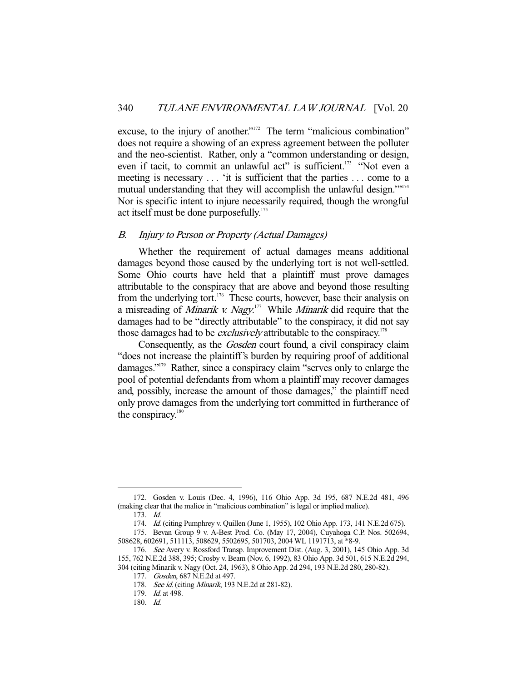excuse, to the injury of another."<sup>172</sup> The term "malicious combination" does not require a showing of an express agreement between the polluter and the neo-scientist. Rather, only a "common understanding or design, even if tacit, to commit an unlawful act" is sufficient.<sup>173</sup> "Not even a meeting is necessary ... 'it is sufficient that the parties ... come to a mutual understanding that they will accomplish the unlawful design."<sup>174</sup> Nor is specific intent to injure necessarily required, though the wrongful act itself must be done purposefully.<sup>175</sup>

## B. Injury to Person or Property (Actual Damages)

 Whether the requirement of actual damages means additional damages beyond those caused by the underlying tort is not well-settled. Some Ohio courts have held that a plaintiff must prove damages attributable to the conspiracy that are above and beyond those resulting from the underlying tort.<sup>176</sup> These courts, however, base their analysis on a misreading of *Minarik v. Nagy*.<sup>177</sup> While *Minarik* did require that the damages had to be "directly attributable" to the conspiracy, it did not say those damages had to be *exclusively* attributable to the conspiracy.<sup>178</sup>

Consequently, as the *Gosden* court found, a civil conspiracy claim "does not increase the plaintiff's burden by requiring proof of additional damages."179 Rather, since a conspiracy claim "serves only to enlarge the pool of potential defendants from whom a plaintiff may recover damages and, possibly, increase the amount of those damages," the plaintiff need only prove damages from the underlying tort committed in furtherance of the conspiracy.<sup>180</sup>

 <sup>172.</sup> Gosden v. Louis (Dec. 4, 1996), 116 Ohio App. 3d 195, 687 N.E.2d 481, 496 (making clear that the malice in "malicious combination" is legal or implied malice).

 <sup>173.</sup> Id.

 <sup>174.</sup> Id. (citing Pumphrey v. Quillen (June 1, 1955), 102 Ohio App. 173, 141 N.E.2d 675).

 <sup>175.</sup> Bevan Group 9 v. A-Best Prod. Co. (May 17, 2004), Cuyahoga C.P. Nos. 502694, 508628, 602691, 511113, 508629, 5502695, 501703, 2004 WL 1191713, at \*8-9.

 <sup>176.</sup> See Avery v. Rossford Transp. Improvement Dist. (Aug. 3, 2001), 145 Ohio App. 3d 155, 762 N.E.2d 388, 395; Crosby v. Beam (Nov. 6, 1992), 83 Ohio App. 3d 501, 615 N.E.2d 294, 304 (citing Minarik v. Nagy (Oct. 24, 1963), 8 Ohio App. 2d 294, 193 N.E.2d 280, 280-82).

 <sup>177.</sup> Gosden, 687 N.E.2d at 497.

<sup>178.</sup> See id. (citing Minarik, 193 N.E.2d at 281-82).

 <sup>179.</sup> Id. at 498.

 <sup>180.</sup> Id.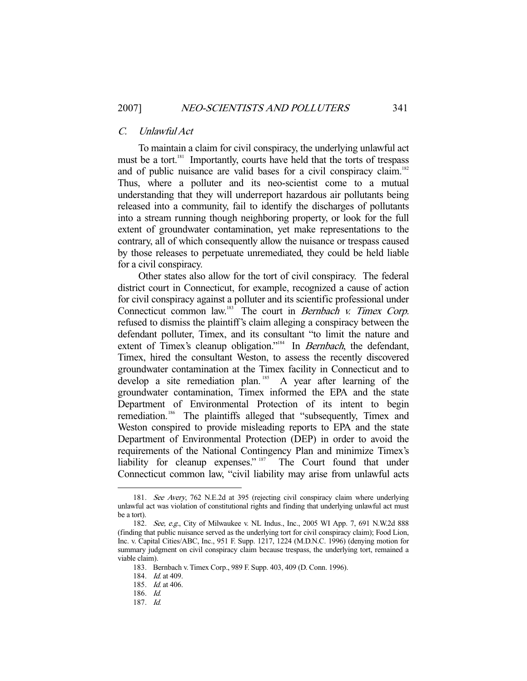## C. Unlawful Act

 To maintain a claim for civil conspiracy, the underlying unlawful act must be a tort.<sup>181</sup> Importantly, courts have held that the torts of trespass and of public nuisance are valid bases for a civil conspiracy claim.<sup>182</sup> Thus, where a polluter and its neo-scientist come to a mutual understanding that they will underreport hazardous air pollutants being released into a community, fail to identify the discharges of pollutants into a stream running though neighboring property, or look for the full extent of groundwater contamination, yet make representations to the contrary, all of which consequently allow the nuisance or trespass caused by those releases to perpetuate unremediated, they could be held liable for a civil conspiracy.

 Other states also allow for the tort of civil conspiracy. The federal district court in Connecticut, for example, recognized a cause of action for civil conspiracy against a polluter and its scientific professional under Connecticut common law.<sup>183</sup> The court in *Bernbach v. Timex Corp.* refused to dismiss the plaintiff's claim alleging a conspiracy between the defendant polluter, Timex, and its consultant "to limit the nature and extent of Timex's cleanup obligation."<sup>184</sup> In *Bernbach*, the defendant, Timex, hired the consultant Weston, to assess the recently discovered groundwater contamination at the Timex facility in Connecticut and to develop a site remediation plan.<sup>185</sup> A year after learning of the groundwater contamination, Timex informed the EPA and the state Department of Environmental Protection of its intent to begin remediation.<sup>186</sup> The plaintiffs alleged that "subsequently, Timex and Weston conspired to provide misleading reports to EPA and the state Department of Environmental Protection (DEP) in order to avoid the requirements of the National Contingency Plan and minimize Timex's liability for cleanup expenses." <sup>187</sup> The Court found that under Connecticut common law, "civil liability may arise from unlawful acts

 <sup>181.</sup> See Avery, 762 N.E.2d at 395 (rejecting civil conspiracy claim where underlying unlawful act was violation of constitutional rights and finding that underlying unlawful act must be a tort).

<sup>182.</sup> See, e.g., City of Milwaukee v. NL Indus., Inc., 2005 WI App. 7, 691 N.W.2d 888 (finding that public nuisance served as the underlying tort for civil conspiracy claim); Food Lion, Inc. v. Capital Cities/ABC, Inc., 951 F. Supp. 1217, 1224 (M.D.N.C. 1996) (denying motion for summary judgment on civil conspiracy claim because trespass, the underlying tort, remained a viable claim).

 <sup>183.</sup> Bernbach v. Timex Corp., 989 F. Supp. 403, 409 (D. Conn. 1996).

<sup>184.</sup> *Id.* at 409.

 <sup>185.</sup> Id. at 406.

 <sup>186.</sup> Id.

 <sup>187.</sup> Id.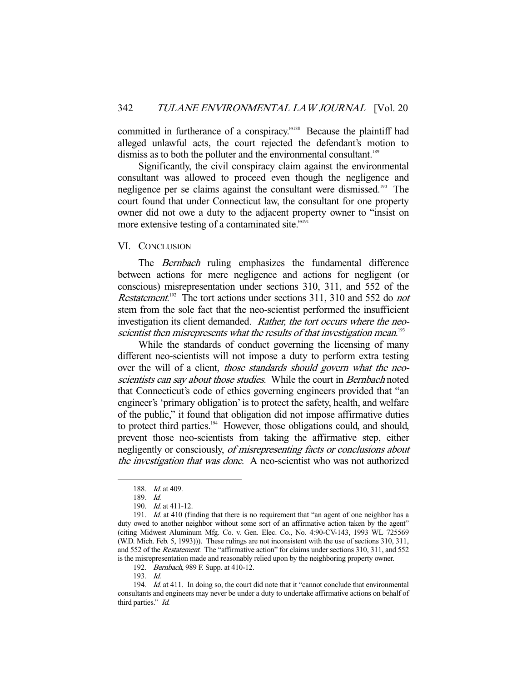committed in furtherance of a conspiracy."<sup>188</sup> Because the plaintiff had alleged unlawful acts, the court rejected the defendant's motion to dismiss as to both the polluter and the environmental consultant.<sup>189</sup>

 Significantly, the civil conspiracy claim against the environmental consultant was allowed to proceed even though the negligence and negligence per se claims against the consultant were dismissed.<sup>190</sup> The court found that under Connecticut law, the consultant for one property owner did not owe a duty to the adjacent property owner to "insist on more extensive testing of a contaminated site."<sup>191</sup>

## VI. CONCLUSION

The Bernbach ruling emphasizes the fundamental difference between actions for mere negligence and actions for negligent (or conscious) misrepresentation under sections 310, 311, and 552 of the Restatement.<sup>192</sup> The tort actions under sections 311, 310 and 552 do not stem from the sole fact that the neo-scientist performed the insufficient investigation its client demanded. Rather, the tort occurs where the neoscientist then misrepresents what the results of that investigation mean.<sup>193</sup>

 While the standards of conduct governing the licensing of many different neo-scientists will not impose a duty to perform extra testing over the will of a client, those standards should govern what the neoscientists can say about those studies. While the court in Bernbach noted that Connecticut's code of ethics governing engineers provided that "an engineer's 'primary obligation' is to protect the safety, health, and welfare of the public," it found that obligation did not impose affirmative duties to protect third parties.<sup>194</sup> However, those obligations could, and should, prevent those neo-scientists from taking the affirmative step, either negligently or consciously, of misrepresenting facts or conclusions about the investigation that was done. A neo-scientist who was not authorized

<sup>188.</sup> *Id.* at 409.

 <sup>189.</sup> Id.

 <sup>190.</sup> Id. at 411-12.

<sup>191.</sup> Id. at 410 (finding that there is no requirement that "an agent of one neighbor has a duty owed to another neighbor without some sort of an affirmative action taken by the agent" (citing Midwest Aluminum Mfg. Co. v. Gen. Elec. Co., No. 4:90-CV-143, 1993 WL 725569 (W.D. Mich. Feb. 5, 1993))). These rulings are not inconsistent with the use of sections 310, 311, and 552 of the Restatement. The "affirmative action" for claims under sections 310, 311, and 552 is the misrepresentation made and reasonably relied upon by the neighboring property owner.

<sup>192.</sup> Bernbach, 989 F. Supp. at 410-12.

 <sup>193.</sup> Id.

<sup>194.</sup> Id. at 411. In doing so, the court did note that it "cannot conclude that environmental consultants and engineers may never be under a duty to undertake affirmative actions on behalf of third parties." Id.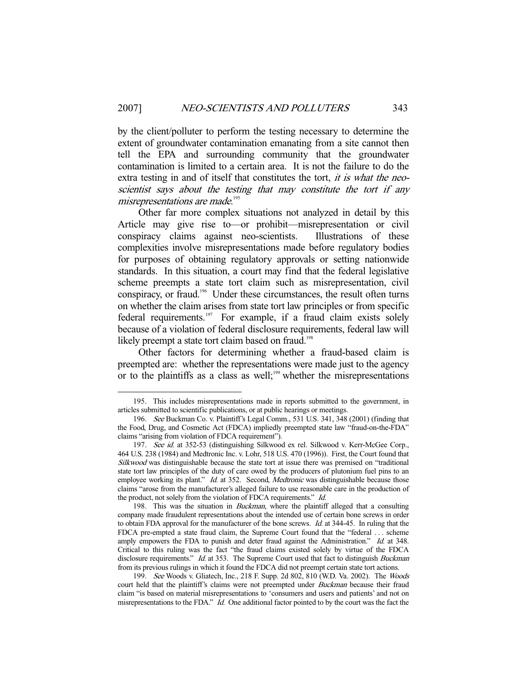by the client/polluter to perform the testing necessary to determine the extent of groundwater contamination emanating from a site cannot then tell the EPA and surrounding community that the groundwater contamination is limited to a certain area. It is not the failure to do the extra testing in and of itself that constitutes the tort, *it is what the neo*scientist says about the testing that may constitute the tort if any misrepresentations are made. 195

 Other far more complex situations not analyzed in detail by this Article may give rise to—or prohibit—misrepresentation or civil conspiracy claims against neo-scientists. Illustrations of these complexities involve misrepresentations made before regulatory bodies for purposes of obtaining regulatory approvals or setting nationwide standards. In this situation, a court may find that the federal legislative scheme preempts a state tort claim such as misrepresentation, civil conspiracy, or fraud.196 Under these circumstances, the result often turns on whether the claim arises from state tort law principles or from specific federal requirements.<sup>197</sup> For example, if a fraud claim exists solely because of a violation of federal disclosure requirements, federal law will likely preempt a state tort claim based on fraud.<sup>198</sup>

 Other factors for determining whether a fraud-based claim is preempted are: whether the representations were made just to the agency or to the plaintiffs as a class as well;<sup>199</sup> whether the misrepresentations

 <sup>195.</sup> This includes misrepresentations made in reports submitted to the government, in articles submitted to scientific publications, or at public hearings or meetings.

<sup>196.</sup> See Buckman Co. v. Plaintiff's Legal Comm., 531 U.S. 341, 348 (2001) (finding that the Food, Drug, and Cosmetic Act (FDCA) impliedly preempted state law "fraud-on-the-FDA" claims "arising from violation of FDCA requirement").

<sup>197.</sup> See id. at 352-53 (distinguishing Silkwood ex rel. Silkwood v. Kerr-McGee Corp., 464 U.S. 238 (1984) and Medtronic Inc. v. Lohr, 518 U.S. 470 (1996)). First, the Court found that Silkwood was distinguishable because the state tort at issue there was premised on "traditional state tort law principles of the duty of care owed by the producers of plutonium fuel pins to an employee working its plant." Id. at 352. Second, Medtronic was distinguishable because those claims "arose from the manufacturer's alleged failure to use reasonable care in the production of the product, not solely from the violation of FDCA requirements." Id.

<sup>198.</sup> This was the situation in *Buckman*, where the plaintiff alleged that a consulting company made fraudulent representations about the intended use of certain bone screws in order to obtain FDA approval for the manufacturer of the bone screws. *Id.* at 344-45. In ruling that the FDCA pre-empted a state fraud claim, the Supreme Court found that the "federal . . . scheme amply empowers the FDA to punish and deter fraud against the Administration." Id. at 348. Critical to this ruling was the fact "the fraud claims existed solely by virtue of the FDCA disclosure requirements." Id. at 353. The Supreme Court used that fact to distinguish *Buckman* from its previous rulings in which it found the FDCA did not preempt certain state tort actions.

 <sup>199.</sup> See Woods v. Gliatech, Inc., 218 F. Supp. 2d 802, 810 (W.D. Va. 2002). The Woods court held that the plaintiff's claims were not preempted under *Buckman* because their fraud claim "is based on material misrepresentations to 'consumers and users and patients' and not on misrepresentations to the FDA." Id. One additional factor pointed to by the court was the fact the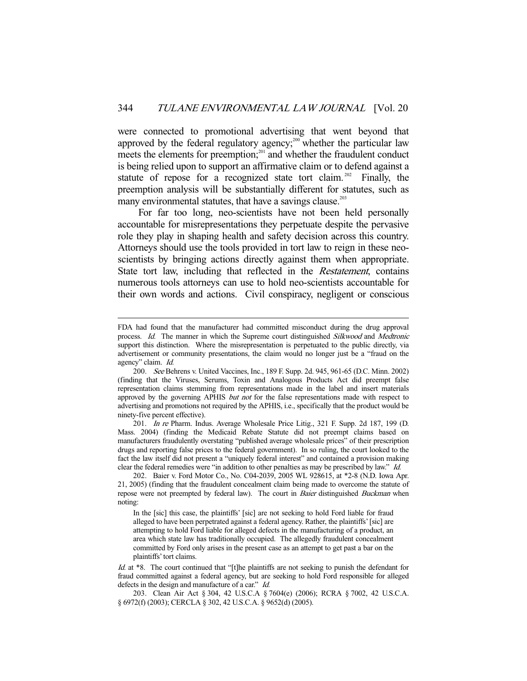were connected to promotional advertising that went beyond that approved by the federal regulatory agency;<sup>200</sup> whether the particular law meets the elements for preemption;<sup>201</sup> and whether the fraudulent conduct is being relied upon to support an affirmative claim or to defend against a statute of repose for a recognized state tort claim.<sup>202</sup> Finally, the preemption analysis will be substantially different for statutes, such as many environmental statutes, that have a savings clause.<sup>203</sup>

 For far too long, neo-scientists have not been held personally accountable for misrepresentations they perpetuate despite the pervasive role they play in shaping health and safety decision across this country. Attorneys should use the tools provided in tort law to reign in these neoscientists by bringing actions directly against them when appropriate. State tort law, including that reflected in the Restatement, contains numerous tools attorneys can use to hold neo-scientists accountable for their own words and actions. Civil conspiracy, negligent or conscious

-

 201. In re Pharm. Indus. Average Wholesale Price Litig., 321 F. Supp. 2d 187, 199 (D. Mass. 2004) (finding the Medicaid Rebate Statute did not preempt claims based on manufacturers fraudulently overstating "published average wholesale prices" of their prescription drugs and reporting false prices to the federal government). In so ruling, the court looked to the fact the law itself did not present a "uniquely federal interest" and contained a provision making clear the federal remedies were "in addition to other penalties as may be prescribed by law." Id.

FDA had found that the manufacturer had committed misconduct during the drug approval process. Id. The manner in which the Supreme court distinguished Silkwood and Medtronic support this distinction. Where the misrepresentation is perpetuated to the public directly, via advertisement or community presentations, the claim would no longer just be a "fraud on the agency" claim. Id.

 <sup>200.</sup> See Behrens v. United Vaccines, Inc., 189 F. Supp. 2d. 945, 961-65 (D.C. Minn. 2002) (finding that the Viruses, Serums, Toxin and Analogous Products Act did preempt false representation claims stemming from representations made in the label and insert materials approved by the governing APHIS *but not* for the false representations made with respect to advertising and promotions not required by the APHIS, i.e., specifically that the product would be ninety-five percent effective).

 <sup>202.</sup> Baier v. Ford Motor Co., No. C04-2039, 2005 WL 928615, at \*2-8 (N.D. Iowa Apr. 21, 2005) (finding that the fraudulent concealment claim being made to overcome the statute of repose were not preempted by federal law). The court in *Baier* distinguished *Buckman* when noting:

In the [sic] this case, the plaintiffs' [sic] are not seeking to hold Ford liable for fraud alleged to have been perpetrated against a federal agency. Rather, the plaintiffs' [sic] are attempting to hold Ford liable for alleged defects in the manufacturing of a product, an area which state law has traditionally occupied. The allegedly fraudulent concealment committed by Ford only arises in the present case as an attempt to get past a bar on the plaintiffs' tort claims.

Id. at \*8. The court continued that "[t]he plaintiffs are not seeking to punish the defendant for fraud committed against a federal agency, but are seeking to hold Ford responsible for alleged defects in the design and manufacture of a car." Id.

 <sup>203.</sup> Clean Air Act § 304, 42 U.S.C.A § 7604(e) (2006); RCRA § 7002, 42 U.S.C.A. § 6972(f) (2003); CERCLA § 302, 42 U.S.C.A. § 9652(d) (2005).